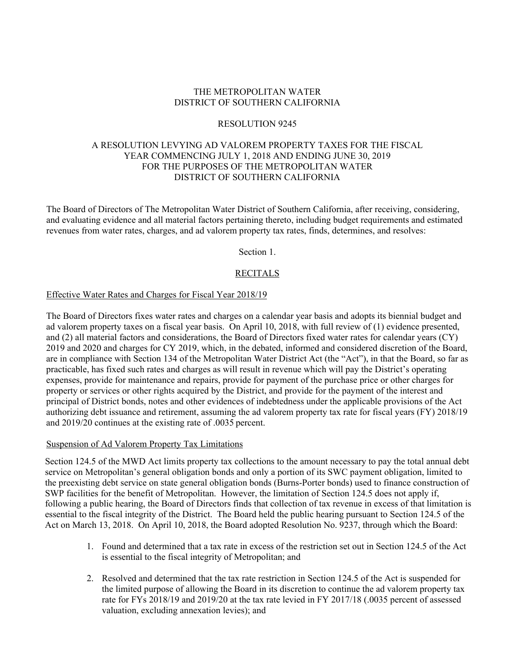### THE METROPOLITAN WATER DISTRICT OF SOUTHERN CALIFORNIA

#### RESOLUTION 9245

### A RESOLUTION LEVYING AD VALOREM PROPERTY TAXES FOR THE FISCAL YEAR COMMENCING JULY 1, 2018 AND ENDING JUNE 30, 2019 FOR THE PURPOSES OF THE METROPOLITAN WATER DISTRICT OF SOUTHERN CALIFORNIA

The Board of Directors of The Metropolitan Water District of Southern California, after receiving, considering, and evaluating evidence and all material factors pertaining thereto, including budget requirements and estimated revenues from water rates, charges, and ad valorem property tax rates, finds, determines, and resolves:

Section 1.

## **RECITALS**

#### Effective Water Rates and Charges for Fiscal Year 2018/19

The Board of Directors fixes water rates and charges on a calendar year basis and adopts its biennial budget and ad valorem property taxes on a fiscal year basis. On April 10, 2018, with full review of (1) evidence presented, and (2) all material factors and considerations, the Board of Directors fixed water rates for calendar years (CY) 2019 and 2020 and charges for CY 2019, which, in the debated, informed and considered discretion of the Board, are in compliance with Section 134 of the Metropolitan Water District Act (the "Act"), in that the Board, so far as practicable, has fixed such rates and charges as will result in revenue which will pay the District's operating expenses, provide for maintenance and repairs, provide for payment of the purchase price or other charges for property or services or other rights acquired by the District, and provide for the payment of the interest and principal of District bonds, notes and other evidences of indebtedness under the applicable provisions of the Act authorizing debt issuance and retirement, assuming the ad valorem property tax rate for fiscal years (FY) 2018/19 and 2019/20 continues at the existing rate of .0035 percent.

#### Suspension of Ad Valorem Property Tax Limitations

Section 124.5 of the MWD Act limits property tax collections to the amount necessary to pay the total annual debt service on Metropolitan's general obligation bonds and only a portion of its SWC payment obligation, limited to the preexisting debt service on state general obligation bonds (Burns-Porter bonds) used to finance construction of SWP facilities for the benefit of Metropolitan. However, the limitation of Section 124.5 does not apply if, following a public hearing, the Board of Directors finds that collection of tax revenue in excess of that limitation is essential to the fiscal integrity of the District. The Board held the public hearing pursuant to Section 124.5 of the Act on March 13, 2018. On April 10, 2018, the Board adopted Resolution No. 9237, through which the Board:

- 1. Found and determined that a tax rate in excess of the restriction set out in Section 124.5 of the Act is essential to the fiscal integrity of Metropolitan; and
- 2. Resolved and determined that the tax rate restriction in Section 124.5 of the Act is suspended for the limited purpose of allowing the Board in its discretion to continue the ad valorem property tax rate for FYs 2018/19 and 2019/20 at the tax rate levied in FY 2017/18 (.0035 percent of assessed valuation, excluding annexation levies); and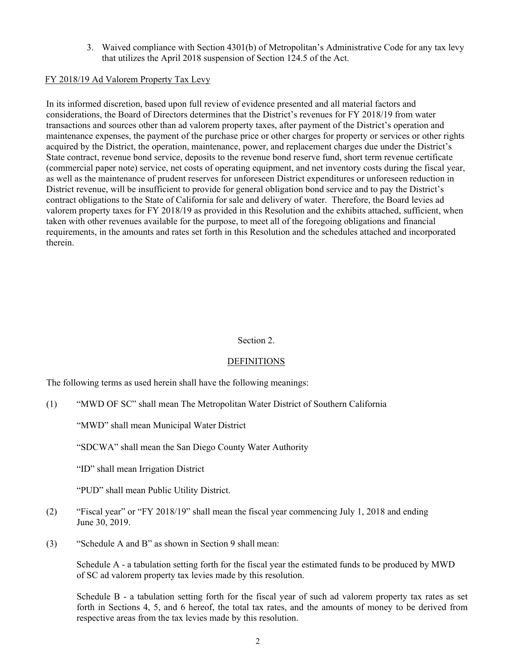3. Waived compliance with Section 4301(b) of Metropolitan's Administrative Code for any tax levy that utilizes the April 2018 suspension of Section 124.5 of the Act.

## FY 2018/19 Ad Valorem Property Tax Levy

In its informed discretion, based upon full review of evidence presented and all material factors and considerations, the Board of Directors determines that the District's revenues for FY 2018/19 from water transactions and sources other than ad valorem property taxes, after payment of the District's operation and maintenance expenses, the payment of the purchase price or other charges for property or services or other rights acquired by the District, the operation, maintenance, power, and replacement charges due under the District's State contract, revenue bond service, deposits to the revenue bond reserve fund, short term revenue certificate (commercial paper note) service, net costs of operating equipment, and net inventory costs during the fiscal year, as well as the maintenance of prudent reserves for unforeseen District expenditures or unforeseen reduction in District revenue, will be insufficient to provide for general obligation bond service and to pay the District's contract obligations to the State of California for sale and delivery of water. Therefore, the Board levies ad valorem property taxes for FY 2018/19 as provided in this Resolution and the exhibits attached, sufficient, when taken with other revenues available for the purpose, to meet all of the foregoing obligations and financial requirements, in the amounts and rates set forth in this Resolution and the schedules attached and incorporated therein.

#### Section 2.

## **DEFINITIONS**

The following terms as used herein shall have the following meanings:

(1) "MWD OF SC" shall mean The Metropolitan Water District of Southern California

"MWD" shall mean Municipal Water District

"SDCWA" shall mean the San Diego County Water Authority

"ID" shall mean Irrigation District

"PUD" shall mean Public Utility District.

- (2) "Fiscal year" or "FY 2018/19" shall mean the fiscal year commencing July 1, 2018 and ending June 30, 2019.
- (3) "Schedule A and B" as shown in Section 9 shall mean:

Schedule A - a tabulation setting forth for the fiscal year the estimated funds to be produced by MWD of SC ad valorem property tax levies made by this resolution.

Schedule B - a tabulation setting forth for the fiscal year of such ad valorem property tax rates as set forth in Sections 4, 5, and 6 hereof, the total tax rates, and the amounts of money to be derived from respective areas from the tax levies made by this resolution.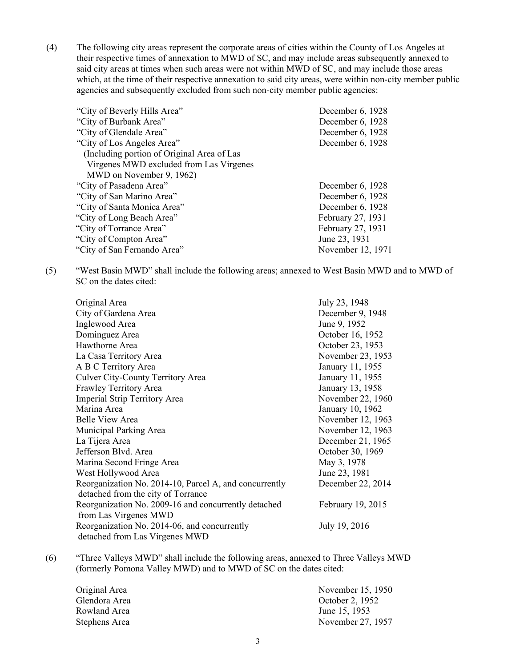(4) The following city areas represent the corporate areas of cities within the County of Los Angeles at their respective times of annexation to MWD of SC, and may include areas subsequently annexed to said city areas at times when such areas were not within MWD of SC, and may include those areas which, at the time of their respective annexation to said city areas, were within non-city member public agencies and subsequently excluded from such non-city member public agencies:

| "City of Beverly Hills Area"               | December 6, 1928  |
|--------------------------------------------|-------------------|
| "City of Burbank Area"                     | December 6, 1928  |
| "City of Glendale Area"                    | December 6, 1928  |
| "City of Los Angeles Area"                 | December 6, 1928  |
| (Including portion of Original Area of Las |                   |
| Virgenes MWD excluded from Las Virgenes    |                   |
| MWD on November 9, 1962)                   |                   |
| "City of Pasadena Area"                    | December 6, 1928  |
| "City of San Marino Area"                  | December 6, 1928  |
| "City of Santa Monica Area"                | December 6, 1928  |
| "City of Long Beach Area"                  | February 27, 1931 |
| "City of Torrance Area"                    | February 27, 1931 |
| "City of Compton Area"                     | June 23, 1931     |
| "City of San Fernando Area"                | November 12, 1971 |
|                                            |                   |

(5) "West Basin MWD" shall include the following areas; annexed to West Basin MWD and to MWD of SC on the dates cited:

| Original Area                                          | July 23, 1948     |
|--------------------------------------------------------|-------------------|
| City of Gardena Area                                   | December 9, 1948  |
| Inglewood Area                                         | June 9, 1952      |
| Dominguez Area                                         | October 16, 1952  |
| Hawthorne Area                                         | October 23, 1953  |
| La Casa Territory Area                                 | November 23, 1953 |
| A B C Territory Area                                   | January 11, 1955  |
| Culver City-County Territory Area                      | January 11, 1955  |
| Frawley Territory Area                                 | January 13, 1958  |
| Imperial Strip Territory Area                          | November 22, 1960 |
| Marina Area                                            | January 10, 1962  |
| <b>Belle View Area</b>                                 | November 12, 1963 |
| Municipal Parking Area                                 | November 12, 1963 |
| La Tijera Area                                         | December 21, 1965 |
| Jefferson Blvd. Area                                   | October 30, 1969  |
| Marina Second Fringe Area                              | May 3, 1978       |
| West Hollywood Area                                    | June 23, 1981     |
| Reorganization No. 2014-10, Parcel A, and concurrently | December 22, 2014 |
| detached from the city of Torrance                     |                   |
| Reorganization No. 2009-16 and concurrently detached   | February 19, 2015 |
| from Las Virgenes MWD                                  |                   |
| Reorganization No. 2014-06, and concurrently           | July 19, 2016     |
| detached from Las Virgenes MWD                         |                   |

(6) "Three Valleys MWD" shall include the following areas, annexed to Three Valleys MWD (formerly Pomona Valley MWD) and to MWD of SC on the dates cited:

| Original Area | November 15, 1950 |
|---------------|-------------------|
| Glendora Area | October 2, 1952   |
| Rowland Area  | June 15, 1953     |
| Stephens Area | November 27, 1957 |
|               |                   |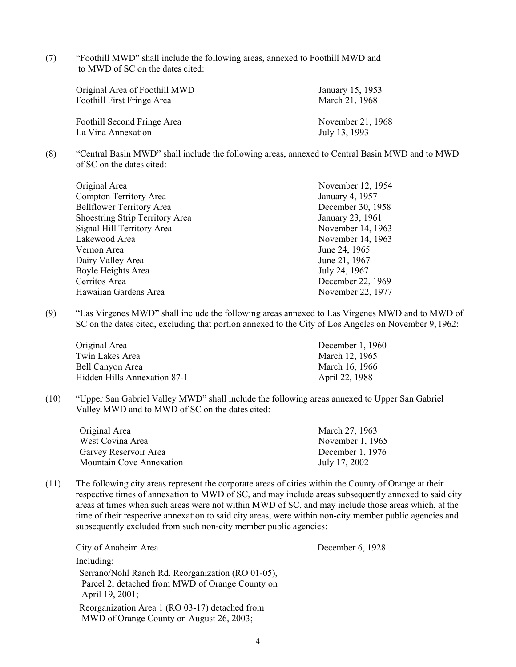(7) "Foothill MWD" shall include the following areas, annexed to Foothill MWD and to MWD of SC on the dates cited:

| Original Area of Foothill MWD | January 15, 1953  |
|-------------------------------|-------------------|
| Foothill First Fringe Area    | March 21, 1968    |
|                               |                   |
| Foothill Second Fringe Area   | November 21, 1968 |
| La Vina Annexation            | July 13, 1993     |

(8) "Central Basin MWD" shall include the following areas, annexed to Central Basin MWD and to MWD of SC on the dates cited:

| Original Area                    | November 12, 1954 |
|----------------------------------|-------------------|
| Compton Territory Area           | January 4, 1957   |
| <b>Bellflower Territory Area</b> | December 30, 1958 |
| Shoestring Strip Territory Area  | January 23, 1961  |
| Signal Hill Territory Area       | November 14, 1963 |
| Lakewood Area                    | November 14, 1963 |
| Vernon Area                      | June 24, 1965     |
| Dairy Valley Area                | June 21, 1967     |
| Boyle Heights Area               | July 24, 1967     |
| Cerritos Area                    | December 22, 1969 |
| Hawaiian Gardens Area            | November 22, 1977 |

(9) "Las Virgenes MWD" shall include the following areas annexed to Las Virgenes MWD and to MWD of SC on the dates cited, excluding that portion annexed to the City of Los Angeles on November 9, 1962:

| Original Area                | December 1, $1960$ |
|------------------------------|--------------------|
| Twin Lakes Area              | March 12, 1965     |
| Bell Canyon Area             | March 16, 1966     |
| Hidden Hills Annexation 87-1 | April 22, 1988     |

(10) "Upper San Gabriel Valley MWD" shall include the following areas annexed to Upper San Gabriel Valley MWD and to MWD of SC on the dates cited:

| Original Area                   | March 27, 1963     |
|---------------------------------|--------------------|
| West Covina Area                | November $1, 1965$ |
| Garvey Reservoir Area           | December 1, $1976$ |
| <b>Mountain Cove Annexation</b> | July 17, 2002      |

(11) The following city areas represent the corporate areas of cities within the County of Orange at their respective times of annexation to MWD of SC, and may include areas subsequently annexed to said city areas at times when such areas were not within MWD of SC, and may include those areas which, at the time of their respective annexation to said city areas, were within non-city member public agencies and subsequently excluded from such non-city member public agencies:

City of Anaheim Area December 6, 1928 Including: Serrano/Nohl Ranch Rd. Reorganization (RO 01-05), Parcel 2, detached from MWD of Orange County on April 19, 2001; Reorganization Area 1 (RO 03-17) detached from MWD of Orange County on August 26, 2003;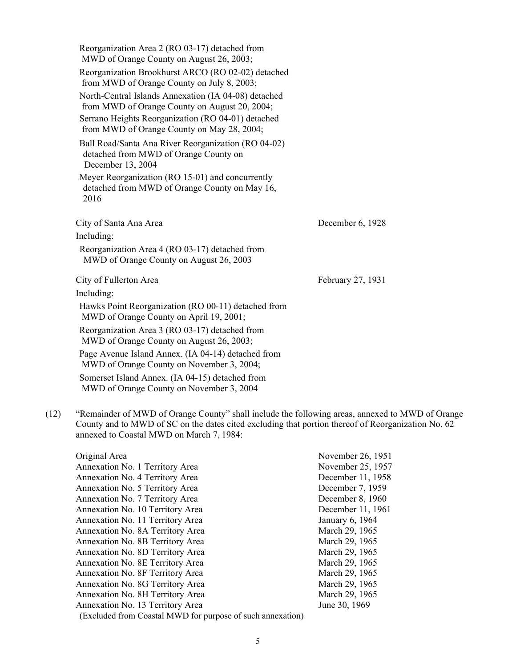| Reorganization Area 2 (RO 03-17) detached from<br>MWD of Orange County on August 26, 2003;<br>Reorganization Brookhurst ARCO (RO 02-02) detached<br>from MWD of Orange County on July 8, 2003;<br>North-Central Islands Annexation (IA 04-08) detached<br>from MWD of Orange County on August 20, 2004;<br>Serrano Heights Reorganization (RO 04-01) detached<br>from MWD of Orange County on May 28, 2004;<br>Ball Road/Santa Ana River Reorganization (RO 04-02) |                   |
|--------------------------------------------------------------------------------------------------------------------------------------------------------------------------------------------------------------------------------------------------------------------------------------------------------------------------------------------------------------------------------------------------------------------------------------------------------------------|-------------------|
| detached from MWD of Orange County on<br>December 13, 2004                                                                                                                                                                                                                                                                                                                                                                                                         |                   |
| Meyer Reorganization (RO 15-01) and concurrently<br>detached from MWD of Orange County on May 16,<br>2016                                                                                                                                                                                                                                                                                                                                                          |                   |
| City of Santa Ana Area                                                                                                                                                                                                                                                                                                                                                                                                                                             | December 6, 1928  |
| Including:                                                                                                                                                                                                                                                                                                                                                                                                                                                         |                   |
| Reorganization Area 4 (RO 03-17) detached from<br>MWD of Orange County on August 26, 2003                                                                                                                                                                                                                                                                                                                                                                          |                   |
| City of Fullerton Area                                                                                                                                                                                                                                                                                                                                                                                                                                             | February 27, 1931 |
|                                                                                                                                                                                                                                                                                                                                                                                                                                                                    |                   |
| Including:                                                                                                                                                                                                                                                                                                                                                                                                                                                         |                   |
| Hawks Point Reorganization (RO 00-11) detached from<br>MWD of Orange County on April 19, 2001;                                                                                                                                                                                                                                                                                                                                                                     |                   |
| Reorganization Area 3 (RO 03-17) detached from<br>MWD of Orange County on August 26, 2003;                                                                                                                                                                                                                                                                                                                                                                         |                   |
| Page Avenue Island Annex. (IA 04-14) detached from<br>MWD of Orange County on November 3, 2004;                                                                                                                                                                                                                                                                                                                                                                    |                   |

(12) "Remainder of MWD of Orange County" shall include the following areas, annexed to MWD of Orange County and to MWD of SC on the dates cited excluding that portion thereof of Reorganization No. 62 annexed to Coastal MWD on March 7, 1984:

| Original Area                                              | November 26, 1951 |
|------------------------------------------------------------|-------------------|
| Annexation No. 1 Territory Area                            | November 25, 1957 |
| Annexation No. 4 Territory Area                            | December 11, 1958 |
| Annexation No. 5 Territory Area                            | December 7, 1959  |
| Annexation No. 7 Territory Area                            | December 8, 1960  |
| Annexation No. 10 Territory Area                           | December 11, 1961 |
| Annexation No. 11 Territory Area                           | January 6, 1964   |
| Annexation No. 8A Territory Area                           | March 29, 1965    |
| Annexation No. 8B Territory Area                           | March 29, 1965    |
| Annexation No. 8D Territory Area                           | March 29, 1965    |
| Annexation No. 8E Territory Area                           | March 29, 1965    |
| Annexation No. 8F Territory Area                           | March 29, 1965    |
| Annexation No. 8G Territory Area                           | March 29, 1965    |
| Annexation No. 8H Territory Area                           | March 29, 1965    |
| Annexation No. 13 Territory Area                           | June 30, 1969     |
| (Excluded from Coastal MWD for purpose of such annexation) |                   |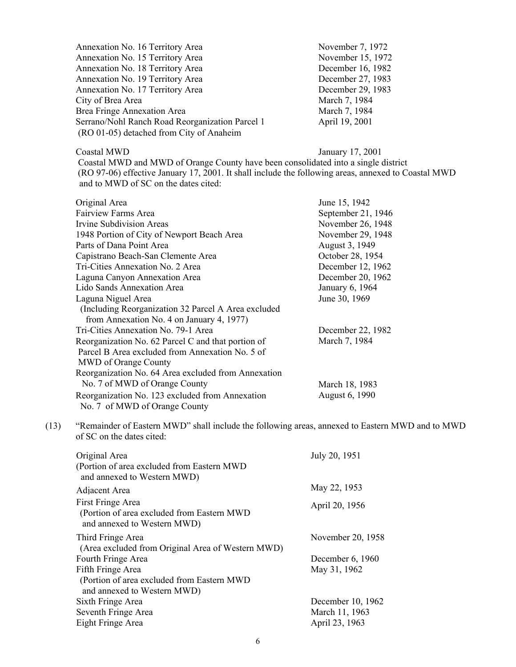| November 7, 1972  |
|-------------------|
| November 15, 1972 |
| December 16, 1982 |
| December 27, 1983 |
| December 29, 1983 |
| March 7, 1984     |
| March 7, 1984     |
| April 19, 2001    |
|                   |
|                   |

### Coastal MWD January 17, 2001

Coastal MWD and MWD of Orange County have been consolidated into a single district (RO 97-06) effective January 17, 2001. It shall include the following areas, annexed to Coastal MWD and to MWD of SC on the dates cited:

| Original Area                                        | June 15, 1942      |
|------------------------------------------------------|--------------------|
| Fairview Farms Area                                  | September 21, 1946 |
| Irvine Subdivision Areas                             | November 26, 1948  |
| 1948 Portion of City of Newport Beach Area           | November 29, 1948  |
| Parts of Dana Point Area                             | August 3, 1949     |
| Capistrano Beach-San Clemente Area                   | October 28, 1954   |
| Tri-Cities Annexation No. 2 Area                     | December 12, 1962  |
| Laguna Canyon Annexation Area                        | December 20, 1962  |
| Lido Sands Annexation Area                           | January 6, 1964    |
| Laguna Niguel Area                                   | June 30, 1969      |
| (Including Reorganization 32 Parcel A Area excluded) |                    |
| from Annexation No. 4 on January 4, 1977)            |                    |
| Tri-Cities Annexation No. 79-1 Area                  | December 22, 1982  |
| Reorganization No. 62 Parcel C and that portion of   | March 7, 1984      |
| Parcel B Area excluded from Annexation No. 5 of      |                    |
| MWD of Orange County                                 |                    |
| Reorganization No. 64 Area excluded from Annexation  |                    |
| No. 7 of MWD of Orange County                        | March 18, 1983     |
| Reorganization No. 123 excluded from Annexation      | August 6, 1990     |
| No. 7 of MWD of Orange County                        |                    |

(13) "Remainder of Eastern MWD" shall include the following areas, annexed to Eastern MWD and to MWD of SC on the dates cited:

| Original Area<br>(Portion of area excluded from Eastern MWD)<br>and annexed to Western MWD)     | July 20, 1951      |
|-------------------------------------------------------------------------------------------------|--------------------|
| Adjacent Area                                                                                   | May 22, 1953       |
| First Fringe Area<br>(Portion of area excluded from Eastern MWD)<br>and annexed to Western MWD) | April 20, 1956     |
| Third Fringe Area<br>(Area excluded from Original Area of Western MWD)                          | November 20, 1958  |
| Fourth Fringe Area                                                                              | December $6, 1960$ |
| Fifth Fringe Area                                                                               | May 31, 1962       |
| (Portion of area excluded from Eastern MWD<br>and annexed to Western MWD)                       |                    |
| Sixth Fringe Area                                                                               | December 10, 1962  |
| Seventh Fringe Area                                                                             | March 11, 1963     |
| Eight Fringe Area                                                                               | April 23, 1963     |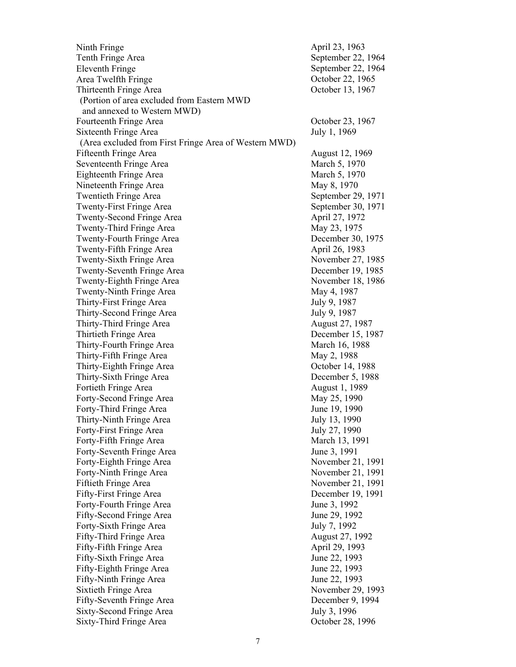Ninth Fringe April 23, 1963 Tenth Fringe Area September 22, 1964 Eleventh Fringe Area Twelfth Fringe Thirteenth Fringe Area (Portion of area excluded from Eastern MWD and annexed to Western MWD) Fourteenth Fringe Area  $\qquad \qquad$  October 23, 1967 Sixteenth Fringe Area (Area excluded from First Fringe Area of Western MWD) Fifteenth Fringe Area August 12, 1969 Seventeenth Fringe Area March 5, 1970 Eighteenth Fringe Area March 5, 1970 Nineteenth Fringe Area May 8, 1970 Twentieth Fringe Area September 29, 1971 Twenty-First Fringe Area September 30, 1971 Twenty-Second Fringe Area April 27, 1972 Twenty-Third Fringe Area May 23, 1975 Twenty-Fourth Fringe Area December 30, 1975 Twenty-Fifth Fringe Area April 26, 1983 Twenty-Sixth Fringe Area November 27, 1985 Twenty-Seventh Fringe Area December 19, 1985 Twenty-Eighth Fringe Area November 18, 1986 Twenty-Ninth Fringe Area May 4, 1987 Thirty-First Fringe Area July 9, 1987 Thirty-Second Fringe Area July 9, 1987 Thirty-Third Fringe Area August 27, 1987 Thirtieth Fringe Area December 15, 1987 Thirty-Fourth Fringe Area March 16, 1988 Thirty-Fifth Fringe Area May 2, 1988 Thirty-Eighth Fringe Area Coroler 14, 1988 Thirty-Sixth Fringe Area December 5, 1988 Fortieth Fringe Area August 1, 1989 Forty-Second Fringe Area May 25, 1990 Forty-Third Fringe Area June 19, 1990 Thirty-Ninth Fringe Area July 13, 1990 Forty-First Fringe Area July 27, 1990 Forty-Fifth Fringe Area March 13, 1991 Forty-Seventh Fringe Area June 3, 1991 Forty-Eighth Fringe Area November 21, 1991 Forty-Ninth Fringe Area November 21, 1991 Fiftieth Fringe Area November 21, 1991 Fifty-First Fringe Area December 19, 1991 Forty-Fourth Fringe Area June 3, 1992 Fifty-Second Fringe Area June 29, 1992 Forty-Sixth Fringe Area July 7, 1992 Fifty-Third Fringe Area August 27, 1992 Fifty-Fifth Fringe Area April 29, 1993 Fifty-Sixth Fringe Area June 22, 1993 Fifty-Eighth Fringe Area June 22, 1993 Fifty-Ninth Fringe Area June 22, 1993 Sixtieth Fringe Area November 29, 1993 Fifty-Seventh Fringe Area December 9, 1994 Sixty-Second Fringe Area July 3, 1996 Sixty-Third Fringe Area October 28, 1996

September 22, 1964 October 22, 1965 October 13, 1967 July 1, 1969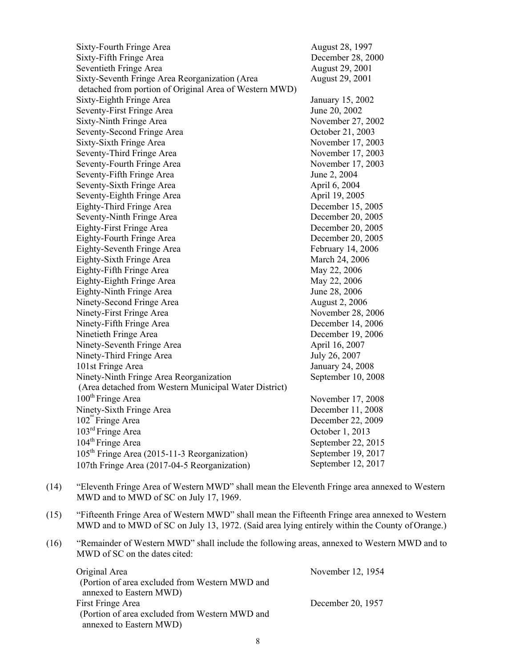Sixty-Fourth Fringe Area **August 28, 1997** Sixty-Fifth Fringe Area 2000 Becember 28, 2000 Seventieth Fringe Area August 29, 2001 Sixty-Seventh Fringe Area Reorganization (Area detached from portion of Original Area of Western MWD) August 29, 2001 Sixty-Eighth Fringe Area January 15, 2002 Seventy-First Fringe Area June 20, 2002 Sixty-Ninth Fringe Area November 27, 2002 Seventy-Second Fringe Area **October 21, 2003** Sixty-Sixth Fringe Area November 17, 2003 Seventy-Third Fringe Area November 17, 2003 Seventy-Fourth Fringe Area November 17, 2003 Seventy-Fifth Fringe Area June 2, 2004 Seventy-Sixth Fringe Area April 6, 2004 Seventy-Eighth Fringe Area April 19, 2005 Eighty-Third Fringe Area December 15, 2005 Seventy-Ninth Fringe Area December 20, 2005 Eighty-First Fringe Area December 20, 2005 Eighty-Fourth Fringe Area December 20, 2005 Eighty-Seventh Fringe Area February 14, 2006 Eighty-Sixth Fringe Area March 24, 2006 Eighty-Fifth Fringe Area May 22, 2006 Eighty-Eighth Fringe Area May 22, 2006 Eighty-Ninth Fringe Area June 28, 2006 Ninety-Second Fringe Area August 2, 2006 Ninety-First Fringe Area November 28, 2006 Ninety-Fifth Fringe Area December 14, 2006 Ninetieth Fringe Area December 19, 2006 Ninety-Seventh Fringe Area April 16, 2007 Ninety-Third Fringe Area July 26, 2007 101st Fringe Area January 24, 2008 Ninety-Ninth Fringe Area Reorganization (Area detached from Western Municipal Water District) September 10, 2008 100<sup>th</sup> Fringe Area November 17, 2008 Ninety-Sixth Fringe Area December 11, 2008 102<sup>nd</sup> Fringe Area 103rd Fringe Area  $104^{\text{th}}$  Fringe Area 105th Fringe Area (2015-11-3 Reorganization) 107th Fringe Area (2017-04-5 Reorganization) December 22, 2009 October 1, 2013 September 22, 2015 September 19, 2017 September 12, 2017

- (14) "Eleventh Fringe Area of Western MWD" shall mean the Eleventh Fringe area annexed to Western MWD and to MWD of SC on July 17, 1969.
- (15) "Fifteenth Fringe Area of Western MWD" shall mean the Fifteenth Fringe area annexed to Western MWD and to MWD of SC on July 13, 1972. (Said area lying entirely within the County of Orange.)
- (16) "Remainder of Western MWD" shall include the following areas, annexed to Western MWD and to MWD of SC on the dates cited:

| Original Area                                  | November 12, 1954 |
|------------------------------------------------|-------------------|
| (Portion of area excluded from Western MWD and |                   |
| annexed to Eastern MWD)                        |                   |
| First Fringe Area                              | December 20, 1957 |
| (Portion of area excluded from Western MWD and |                   |
| annexed to Eastern MWD)                        |                   |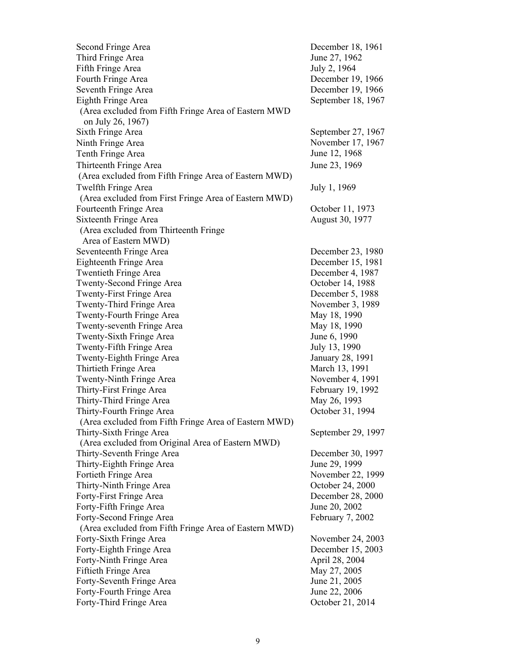| Second Fringe Area                                                         | December 18, 1961  |
|----------------------------------------------------------------------------|--------------------|
| Third Fringe Area                                                          | June 27, 1962      |
| Fifth Fringe Area                                                          | July 2, 1964       |
| Fourth Fringe Area                                                         | December 19, 1966  |
| Seventh Fringe Area                                                        | December 19, 1966  |
| Eighth Fringe Area                                                         | September 18, 1967 |
| (Area excluded from Fifth Fringe Area of Eastern MWD)<br>on July 26, 1967) |                    |
| Sixth Fringe Area                                                          | September 27, 1967 |
| Ninth Fringe Area                                                          | November 17, 1967  |
| Tenth Fringe Area                                                          | June 12, 1968      |
| Thirteenth Fringe Area                                                     | June 23, 1969      |
| (Area excluded from Fifth Fringe Area of Eastern MWD)                      |                    |
| Twelfth Fringe Area                                                        | July 1, 1969       |
| (Area excluded from First Fringe Area of Eastern MWD)                      |                    |
| Fourteenth Fringe Area                                                     | October 11, 1973   |
| Sixteenth Fringe Area                                                      | August 30, 1977    |
| (Area excluded from Thirteenth Fringe)                                     |                    |
| Area of Eastern MWD)                                                       |                    |
| Seventeenth Fringe Area                                                    | December 23, 1980  |
| Eighteenth Fringe Area                                                     | December 15, 1981  |
| <b>Twentieth Fringe Area</b>                                               | December 4, 1987   |
| Twenty-Second Fringe Area                                                  | October 14, 1988   |
| Twenty-First Fringe Area                                                   | December 5, 1988   |
| Twenty-Third Fringe Area                                                   | November 3, 1989   |
| Twenty-Fourth Fringe Area                                                  | May 18, 1990       |
| Twenty-seventh Fringe Area                                                 | May 18, 1990       |
| Twenty-Sixth Fringe Area                                                   | June 6, 1990       |
| Twenty-Fifth Fringe Area                                                   | July 13, 1990      |
| Twenty-Eighth Fringe Area                                                  | January 28, 1991   |
| Thirtieth Fringe Area                                                      | March 13, 1991     |
| Twenty-Ninth Fringe Area                                                   | November 4, 1991   |
| Thirty-First Fringe Area                                                   | February 19, 1992  |
| Thirty-Third Fringe Area                                                   | May 26, 1993       |
| Thirty-Fourth Fringe Area                                                  | October 31, 1994   |
| (Area excluded from Fifth Fringe Area of Eastern MWD)                      |                    |
| Thirty-Sixth Fringe Area                                                   | September 29, 1997 |
| (Area excluded from Original Area of Eastern MWD)                          |                    |
| Thirty-Seventh Fringe Area                                                 | December 30, 1997  |
| Thirty-Eighth Fringe Area                                                  | June 29, 1999      |
| Fortieth Fringe Area                                                       | November 22, 1999  |
| Thirty-Ninth Fringe Area                                                   | October 24, 2000   |
| Forty-First Fringe Area                                                    | December 28, 2000  |
| Forty-Fifth Fringe Area                                                    | June 20, 2002      |
| Forty-Second Fringe Area                                                   | February 7, 2002   |
| (Area excluded from Fifth Fringe Area of Eastern MWD)                      |                    |
| Forty-Sixth Fringe Area                                                    | November 24, 2003  |
| Forty-Eighth Fringe Area                                                   | December 15, 2003  |
| Forty-Ninth Fringe Area                                                    | April 28, 2004     |
| Fiftieth Fringe Area                                                       | May 27, 2005       |
| Forty-Seventh Fringe Area                                                  | June 21, 2005      |
| Forty-Fourth Fringe Area                                                   | June 22, 2006      |
| Forty-Third Fringe Area                                                    | October 21, 2014   |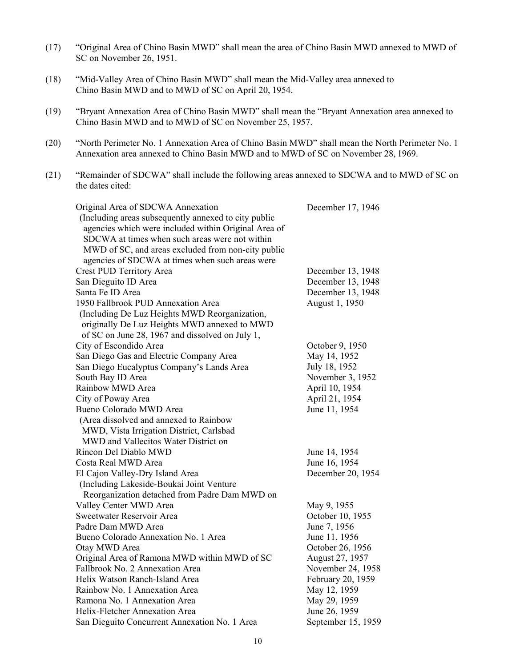- (17) "Original Area of Chino Basin MWD" shall mean the area of Chino Basin MWD annexed to MWD of SC on November 26, 1951.
- (18) "Mid-Valley Area of Chino Basin MWD" shall mean the Mid-Valley area annexed to Chino Basin MWD and to MWD of SC on April 20, 1954.
- (19) "Bryant Annexation Area of Chino Basin MWD" shall mean the "Bryant Annexation area annexed to Chino Basin MWD and to MWD of SC on November 25, 1957.
- (20) "North Perimeter No. 1 Annexation Area of Chino Basin MWD" shall mean the North Perimeter No. 1 Annexation area annexed to Chino Basin MWD and to MWD of SC on November 28, 1969.
- (21) "Remainder of SDCWA" shall include the following areas annexed to SDCWA and to MWD of SC on the dates cited:

| Original Area of SDCWA Annexation                    | December 17, 1946  |
|------------------------------------------------------|--------------------|
| (Including areas subsequently annexed to city public |                    |
| agencies which were included within Original Area of |                    |
| SDCWA at times when such areas were not within       |                    |
| MWD of SC, and areas excluded from non-city public   |                    |
| agencies of SDCWA at times when such areas were      |                    |
| Crest PUD Territory Area                             | December 13, 1948  |
| San Dieguito ID Area                                 | December 13, 1948  |
| Santa Fe ID Area                                     | December 13, 1948  |
| 1950 Fallbrook PUD Annexation Area                   | August 1, 1950     |
| (Including De Luz Heights MWD Reorganization,        |                    |
| originally De Luz Heights MWD annexed to MWD         |                    |
| of SC on June 28, 1967 and dissolved on July 1,      |                    |
| City of Escondido Area                               | October 9, 1950    |
| San Diego Gas and Electric Company Area              | May 14, 1952       |
| San Diego Eucalyptus Company's Lands Area            | July 18, 1952      |
| South Bay ID Area                                    | November 3, 1952   |
| Rainbow MWD Area                                     | April 10, 1954     |
| City of Poway Area                                   | April 21, 1954     |
| Bueno Colorado MWD Area                              | June 11, 1954      |
| (Area dissolved and annexed to Rainbow               |                    |
| MWD, Vista Irrigation District, Carlsbad             |                    |
| MWD and Vallecitos Water District on                 |                    |
| Rincon Del Diablo MWD                                | June 14, 1954      |
| Costa Real MWD Area                                  | June 16, 1954      |
| El Cajon Valley-Dry Island Area                      | December 20, 1954  |
| (Including Lakeside-Boukai Joint Venture             |                    |
| Reorganization detached from Padre Dam MWD on        |                    |
| Valley Center MWD Area                               | May 9, 1955        |
| Sweetwater Reservoir Area                            | October 10, 1955   |
| Padre Dam MWD Area                                   | June 7, 1956       |
| Bueno Colorado Annexation No. 1 Area                 | June 11, 1956      |
| Otay MWD Area                                        | October 26, 1956   |
| Original Area of Ramona MWD within MWD of SC         | August 27, 1957    |
| Fallbrook No. 2 Annexation Area                      | November 24, 1958  |
| Helix Watson Ranch-Island Area                       | February 20, 1959  |
| Rainbow No. 1 Annexation Area                        | May 12, 1959       |
| Ramona No. 1 Annexation Area                         | May 29, 1959       |
| Helix-Fletcher Annexation Area                       | June 26, 1959      |
| San Dieguito Concurrent Annexation No. 1 Area        | September 15, 1959 |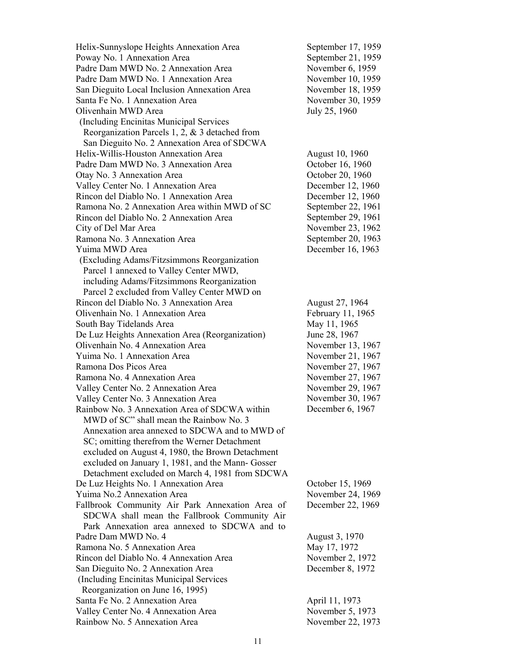| Helix-Sunnyslope Heights Annexation Area         | September 17, 1959 |
|--------------------------------------------------|--------------------|
| Poway No. 1 Annexation Area                      | September 21, 1959 |
| Padre Dam MWD No. 2 Annexation Area              | November 6, 1959   |
| Padre Dam MWD No. 1 Annexation Area              | November 10, 1959  |
| San Dieguito Local Inclusion Annexation Area     | November 18, 1959  |
| Santa Fe No. 1 Annexation Area                   | November 30, 1959  |
| Olivenhain MWD Area                              | July 25, 1960      |
| (Including Encinitas Municipal Services          |                    |
| Reorganization Parcels 1, 2, $&$ 3 detached from |                    |
| San Dieguito No. 2 Annexation Area of SDCWA      |                    |
| Helix-Willis-Houston Annexation Area             | August 10, 1960    |
| Padre Dam MWD No. 3 Annexation Area              | October 16, 1960   |
| Otay No. 3 Annexation Area                       | October 20, 1960   |
| Valley Center No. 1 Annexation Area              | December 12, 1960  |
| Rincon del Diablo No. 1 Annexation Area          | December 12, 1960  |
| Ramona No. 2 Annexation Area within MWD of SC    | September 22, 1961 |
| Rincon del Diablo No. 2 Annexation Area          | September 29, 1961 |
| City of Del Mar Area                             | November 23, 1962  |
| Ramona No. 3 Annexation Area                     | September 20, 1963 |
| Yuima MWD Area                                   | December 16, 1963  |
| (Excluding Adams/Fitzsimmons Reorganization      |                    |
| Parcel 1 annexed to Valley Center MWD,           |                    |
| including Adams/Fitzsimmons Reorganization       |                    |
| Parcel 2 excluded from Valley Center MWD on      |                    |
| Rincon del Diablo No. 3 Annexation Area          | August 27, 1964    |
| Olivenhain No. 1 Annexation Area                 | February 11, 1965  |
| South Bay Tidelands Area                         | May 11, 1965       |
| De Luz Heights Annexation Area (Reorganization)  | June 28, 1967      |
| Olivenhain No. 4 Annexation Area                 | November 13, 1967  |
| Yuima No. 1 Annexation Area                      | November 21, 1967  |
| Ramona Dos Picos Area                            | November 27, 1967  |
| Ramona No. 4 Annexation Area                     | November 27, 1967  |
| Valley Center No. 2 Annexation Area              | November 29, 1967  |
| Valley Center No. 3 Annexation Area              | November 30, 1967  |
| Rainbow No. 3 Annexation Area of SDCWA within    | December 6, 1967   |
| MWD of SC" shall mean the Rainbow No. 3          |                    |
| Annexation area annexed to SDCWA and to MWD of   |                    |
| SC; omitting therefrom the Werner Detachment     |                    |
| excluded on August 4, 1980, the Brown Detachment |                    |
| excluded on January 1, 1981, and the Mann-Gosser |                    |
| Detachment excluded on March 4, 1981 from SDCWA  |                    |
| De Luz Heights No. 1 Annexation Area             | October 15, 1969   |
| Yuima No.2 Annexation Area                       | November 24, 1969  |
| Fallbrook Community Air Park Annexation Area of  | December 22, 1969  |
| SDCWA shall mean the Fallbrook Community Air     |                    |
| Park Annexation area annexed to SDCWA and to     |                    |
| Padre Dam MWD No. 4                              | August 3, 1970     |
| Ramona No. 5 Annexation Area                     | May 17, 1972       |
| Rincon del Diablo No. 4 Annexation Area          | November 2, 1972   |
| San Dieguito No. 2 Annexation Area               | December 8, 1972   |
| (Including Encinitas Municipal Services          |                    |
| Reorganization on June 16, 1995)                 |                    |
| Santa Fe No. 2 Annexation Area                   | April 11, 1973     |
| Valley Center No. 4 Annexation Area              | November 5, 1973   |
| Rainbow No. 5 Annexation Area                    | November 22, 1973  |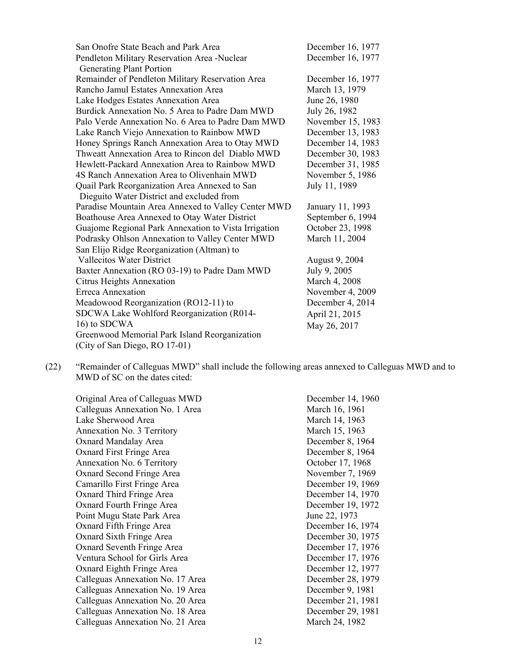| San Onofre State Beach and Park Area                 | December 16, 1977 |
|------------------------------------------------------|-------------------|
| Pendleton Military Reservation Area -Nuclear         | December 16, 1977 |
| <b>Generating Plant Portion</b>                      |                   |
| Remainder of Pendleton Military Reservation Area     | December 16, 1977 |
| Rancho Jamul Estates Annexation Area                 | March 13, 1979    |
| Lake Hodges Estates Annexation Area                  | June 26, 1980     |
| Burdick Annexation No. 5 Area to Padre Dam MWD       | July 26, 1982     |
| Palo Verde Annexation No. 6 Area to Padre Dam MWD    | November 15, 1983 |
| Lake Ranch Viejo Annexation to Rainbow MWD           | December 13, 1983 |
| Honey Springs Ranch Annexation Area to Otay MWD      | December 14, 1983 |
| Thweatt Annexation Area to Rincon del Diablo MWD     | December 30, 1983 |
| Hewlett-Packard Annexation Area to Rainbow MWD       | December 31, 1985 |
| 4S Ranch Annexation Area to Olivenhain MWD           | November 5, 1986  |
| Quail Park Reorganization Area Annexed to San        | July 11, 1989     |
| Dieguito Water District and excluded from            |                   |
| Paradise Mountain Area Annexed to Valley Center MWD  | January 11, 1993  |
| Boathouse Area Annexed to Otay Water District        | September 6, 1994 |
| Guajome Regional Park Annexation to Vista Irrigation | October 23, 1998  |
| Podrasky Ohlson Annexation to Valley Center MWD      | March 11, 2004    |
| San Elijo Ridge Reorganization (Altman) to           |                   |
| <b>Vallecitos Water District</b>                     | August 9, 2004    |
| Baxter Annexation (RO 03-19) to Padre Dam MWD        | July 9, 2005      |
| <b>Citrus Heights Annexation</b>                     | March 4, 2008     |
| <b>Erreca Annexation</b>                             | November 4, 2009  |
| Meadowood Reorganization (RO12-11) to                | December 4, 2014  |
| SDCWA Lake Wohlford Reorganization (R014-            | April 21, 2015    |
| 16) to SDCWA                                         | May 26, 2017      |
| Greenwood Memorial Park Island Reorganization        |                   |
| (City of San Diego, RO 17-01)                        |                   |

(22) "Remainder of Calleguas MWD" shall include the following areas annexed to Calleguas MWD and to MWD of SC on the dates cited:

Original Area of Calleguas MWD December 14, 1960 Calleguas Annexation No. 1 Area March 16, 1961 Lake Sherwood Area March 14, 1963 Annexation No. 3 Territory March 15, 1963 Oxnard Mandalay Area December 8, 1964 Oxnard First Fringe Area December 8, 1964 Annexation No. 6 Territory Corober 17, 1968 Oxnard Second Fringe Area November 7, 1969 Camarillo First Fringe Area December 19, 1969 Oxnard Third Fringe Area December 14, 1970 Oxnard Fourth Fringe Area December 19, 1972 Point Mugu State Park Area June 22, 1973 Oxnard Fifth Fringe Area December 16, 1974 Oxnard Sixth Fringe Area December 30, 1975 Oxnard Seventh Fringe Area December 17, 1976 Ventura School for Girls Area December 17, 1976 Oxnard Eighth Fringe Area December 12, 1977 Calleguas Annexation No. 17 Area December 28, 1979 Calleguas Annexation No. 19 Area December 9, 1981 Calleguas Annexation No. 20 Area December 21, 1981 Calleguas Annexation No. 18 Area December 29, 1981 Calleguas Annexation No. 21 Area March 24, 1982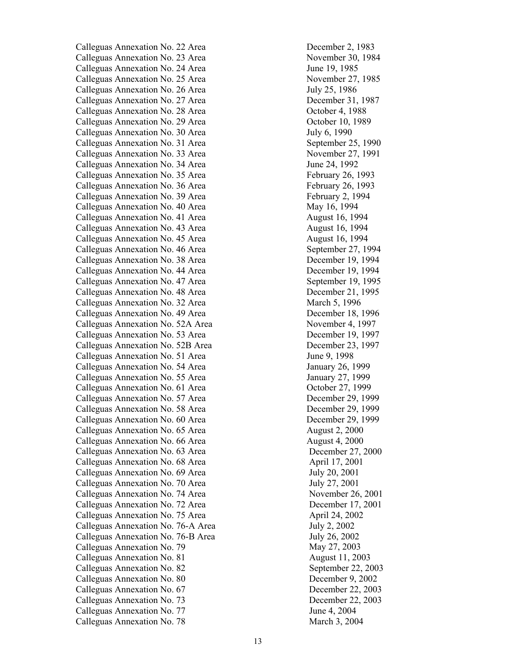Calleguas Annexation No. 22 Area December 2, 1983 Calleguas Annexation No. 23 Area November 30, 1984 Calleguas Annexation No. 24 Area June 19, 1985 Calleguas Annexation No. 25 Area November 27, 1985 Calleguas Annexation No. 26 Area July 25, 1986 Calleguas Annexation No. 27 Area December 31, 1987 Calleguas Annexation No. 28 Area Corober 4, 1988 Calleguas Annexation No. 29 Area **Calleguas Annexation No. 29 Area October 10, 1989** Calleguas Annexation No. 30 Area July 6, 1990 Calleguas Annexation No. 31 Area September 25, 1990 Calleguas Annexation No. 33 Area November 27, 1991 Calleguas Annexation No. 34 Area June 24, 1992 Calleguas Annexation No. 35 Area February 26, 1993 Calleguas Annexation No. 36 Area February 26, 1993 Calleguas Annexation No. 39 Area February 2, 1994 Calleguas Annexation No. 40 Area May 16, 1994 Calleguas Annexation No. 41 Area August 16, 1994 Calleguas Annexation No. 43 Area August 16, 1994 Calleguas Annexation No. 45 Area August 16, 1994 Calleguas Annexation No. 46 Area September 27, 1994 Calleguas Annexation No. 38 Area December 19, 1994 Calleguas Annexation No. 44 Area December 19, 1994 Calleguas Annexation No. 47 Area September 19, 1995 Calleguas Annexation No. 48 Area December 21, 1995 Calleguas Annexation No. 32 Area March 5, 1996 Calleguas Annexation No. 49 Area December 18, 1996 Calleguas Annexation No. 52A Area November 4, 1997 Calleguas Annexation No. 53 Area December 19, 1997 Calleguas Annexation No. 52B Area December 23, 1997 Calleguas Annexation No. 51 Area June 9, 1998 Calleguas Annexation No. 54 Area January 26, 1999 Calleguas Annexation No. 55 Area January 27, 1999 Calleguas Annexation No. 61 Area **Calleguas Annexation No. 61 Area October 27, 1999** Calleguas Annexation No. 57 Area December 29, 1999 Calleguas Annexation No. 58 Area December 29, 1999 Calleguas Annexation No. 60 Area December 29, 1999 Calleguas Annexation No. 65 Area August 2, 2000 Calleguas Annexation No. 66 Area August 4, 2000 Calleguas Annexation No. 63 Area December 27, 2000 Calleguas Annexation No. 68 Area April 17, 2001 Calleguas Annexation No. 69 Area July 20, 2001 Calleguas Annexation No. 70 Area July 27, 2001 Calleguas Annexation No. 74 Area November 26, 2001 Calleguas Annexation No. 72 Area December 17, 2001 Calleguas Annexation No. 75 Area April 24, 2002 Calleguas Annexation No. 76-A Area July 2, 2002 Calleguas Annexation No. 76-B Area July 26, 2002 Calleguas Annexation No. 79 May 27, 2003 Calleguas Annexation No. 81 August 11, 2003 Calleguas Annexation No. 82 September 22, 2003 Calleguas Annexation No. 80 December 9, 2002 Calleguas Annexation No. 67 December 22, 2003 Calleguas Annexation No. 73 December 22, 2003 Calleguas Annexation No. 77 June 4, 2004 Calleguas Annexation No. 78 March 3, 2004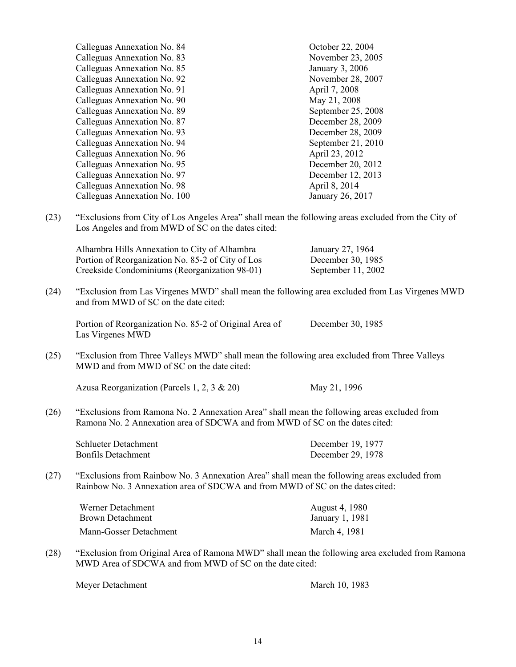|      | Calleguas Annexation No. 84                                                                                                                                                   | October 22, 2004                       |
|------|-------------------------------------------------------------------------------------------------------------------------------------------------------------------------------|----------------------------------------|
|      | Calleguas Annexation No. 83                                                                                                                                                   | November 23, 2005                      |
|      | Calleguas Annexation No. 85                                                                                                                                                   | January 3, 2006                        |
|      | Calleguas Annexation No. 92                                                                                                                                                   | November 28, 2007                      |
|      | Calleguas Annexation No. 91                                                                                                                                                   | April 7, 2008                          |
|      | Calleguas Annexation No. 90                                                                                                                                                   | May 21, 2008                           |
|      | Calleguas Annexation No. 89                                                                                                                                                   | September 25, 2008                     |
|      | Calleguas Annexation No. 87                                                                                                                                                   | December 28, 2009                      |
|      | Calleguas Annexation No. 93                                                                                                                                                   | December 28, 2009                      |
|      | Calleguas Annexation No. 94                                                                                                                                                   | September 21, 2010                     |
|      | Calleguas Annexation No. 96                                                                                                                                                   | April 23, 2012                         |
|      | Calleguas Annexation No. 95                                                                                                                                                   | December 20, 2012                      |
|      | Calleguas Annexation No. 97                                                                                                                                                   | December 12, 2013                      |
|      | Calleguas Annexation No. 98                                                                                                                                                   | April 8, 2014                          |
|      | Calleguas Annexation No. 100                                                                                                                                                  | January 26, 2017                       |
|      |                                                                                                                                                                               |                                        |
| (23) | "Exclusions from City of Los Angeles Area" shall mean the following areas excluded from the City of<br>Los Angeles and from MWD of SC on the dates cited:                     |                                        |
|      | Alhambra Hills Annexation to City of Alhambra                                                                                                                                 | January 27, 1964                       |
|      | Portion of Reorganization No. 85-2 of City of Los                                                                                                                             | December 30, 1985                      |
|      | Creekside Condominiums (Reorganization 98-01)                                                                                                                                 | September 11, 2002                     |
|      |                                                                                                                                                                               |                                        |
| (24) | "Exclusion from Las Virgenes MWD" shall mean the following area excluded from Las Virgenes MWD<br>and from MWD of SC on the date cited:                                       |                                        |
|      | Portion of Reorganization No. 85-2 of Original Area of<br>Las Virgenes MWD                                                                                                    | December 30, 1985                      |
| (25) | "Exclusion from Three Valleys MWD" shall mean the following area excluded from Three Valleys<br>MWD and from MWD of SC on the date cited:                                     |                                        |
|      | Azusa Reorganization (Parcels 1, 2, 3 $\&$ 20)                                                                                                                                | May 21, 1996                           |
| (26) | "Exclusions from Ramona No. 2 Annexation Area" shall mean the following areas excluded from<br>Ramona No. 2 Annexation area of SDCWA and from MWD of SC on the dates cited:   |                                        |
|      | Schlueter Detachment<br><b>Bonfils Detachment</b>                                                                                                                             | December 19, 1977<br>December 29, 1978 |
| (27) | "Exclusions from Rainbow No. 3 Annexation Area" shall mean the following areas excluded from<br>Rainbow No. 3 Annexation area of SDCWA and from MWD of SC on the dates cited: |                                        |
|      | Werner Detachment                                                                                                                                                             | August 4, 1980                         |
|      | <b>Brown Detachment</b>                                                                                                                                                       | January 1, 1981                        |
|      |                                                                                                                                                                               |                                        |
|      | Mann-Gosser Detachment                                                                                                                                                        | March 4, 1981                          |
| (28) | "Exclusion from Original Area of Ramona MWD" shall mean the following area excluded from Ramona<br>MWD Area of SDCWA and from MWD of SC on the date cited:                    |                                        |

Meyer Detachment March 10, 1983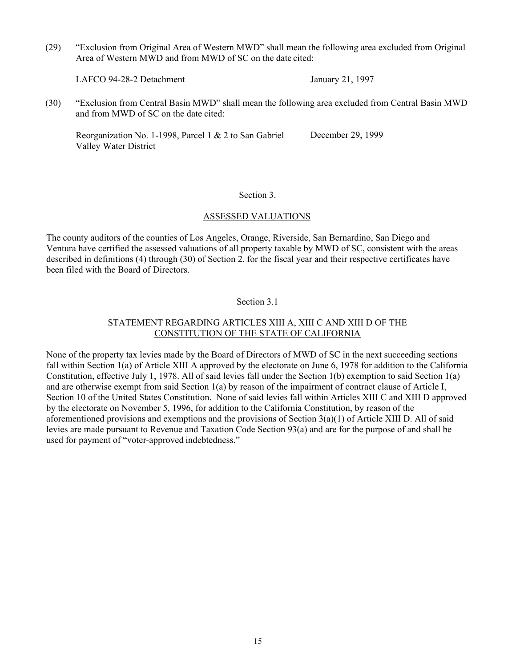(29) "Exclusion from Original Area of Western MWD" shall mean the following area excluded from Original Area of Western MWD and from MWD of SC on the date cited:

LAFCO 94-28-2 Detachment January 21, 1997

(30) "Exclusion from Central Basin MWD" shall mean the following area excluded from Central Basin MWD and from MWD of SC on the date cited:

Reorganization No. 1-1998, Parcel 1 & 2 to San Gabriel Valley Water District December 29, 1999

#### Section 3.

#### ASSESSED VALUATIONS

The county auditors of the counties of Los Angeles, Orange, Riverside, San Bernardino, San Diego and Ventura have certified the assessed valuations of all property taxable by MWD of SC, consistent with the areas described in definitions (4) through (30) of Section 2, for the fiscal year and their respective certificates have been filed with the Board of Directors.

#### Section 3.1

#### STATEMENT REGARDING ARTICLES XIII A, XIII C AND XIII D OF THE CONSTITUTION OF THE STATE OF CALIFORNIA

None of the property tax levies made by the Board of Directors of MWD of SC in the next succeeding sections fall within Section 1(a) of Article XIII A approved by the electorate on June 6, 1978 for addition to the California Constitution, effective July 1, 1978. All of said levies fall under the Section 1(b) exemption to said Section 1(a) and are otherwise exempt from said Section 1(a) by reason of the impairment of contract clause of Article I, Section 10 of the United States Constitution. None of said levies fall within Articles XIII C and XIII D approved by the electorate on November 5, 1996, for addition to the California Constitution, by reason of the aforementioned provisions and exemptions and the provisions of Section 3(a)(1) of Article XIII D. All of said levies are made pursuant to Revenue and Taxation Code Section 93(a) and are for the purpose of and shall be used for payment of "voter-approved indebtedness."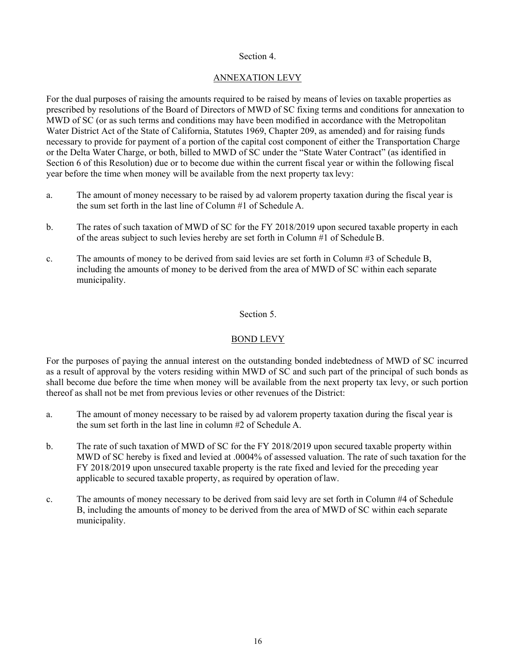#### Section 4.

### ANNEXATION LEVY

For the dual purposes of raising the amounts required to be raised by means of levies on taxable properties as prescribed by resolutions of the Board of Directors of MWD of SC fixing terms and conditions for annexation to MWD of SC (or as such terms and conditions may have been modified in accordance with the Metropolitan Water District Act of the State of California, Statutes 1969, Chapter 209, as amended) and for raising funds necessary to provide for payment of a portion of the capital cost component of either the Transportation Charge or the Delta Water Charge, or both, billed to MWD of SC under the "State Water Contract" (as identified in Section 6 of this Resolution) due or to become due within the current fiscal year or within the following fiscal year before the time when money will be available from the next property tax levy:

- a. The amount of money necessary to be raised by ad valorem property taxation during the fiscal year is the sum set forth in the last line of Column #1 of Schedule A.
- b. The rates of such taxation of MWD of SC for the FY 2018/2019 upon secured taxable property in each of the areas subject to such levies hereby are set forth in Column #1 of Schedule B.
- c. The amounts of money to be derived from said levies are set forth in Column #3 of Schedule B, including the amounts of money to be derived from the area of MWD of SC within each separate municipality.

#### Section 5.

## BOND LEVY

For the purposes of paying the annual interest on the outstanding bonded indebtedness of MWD of SC incurred as a result of approval by the voters residing within MWD of SC and such part of the principal of such bonds as shall become due before the time when money will be available from the next property tax levy, or such portion thereof as shall not be met from previous levies or other revenues of the District:

- a. The amount of money necessary to be raised by ad valorem property taxation during the fiscal year is the sum set forth in the last line in column #2 of Schedule A.
- b. The rate of such taxation of MWD of SC for the FY 2018/2019 upon secured taxable property within MWD of SC hereby is fixed and levied at .0004% of assessed valuation. The rate of such taxation for the FY 2018/2019 upon unsecured taxable property is the rate fixed and levied for the preceding year applicable to secured taxable property, as required by operation of law.
- c. The amounts of money necessary to be derived from said levy are set forth in Column #4 of Schedule B, including the amounts of money to be derived from the area of MWD of SC within each separate municipality.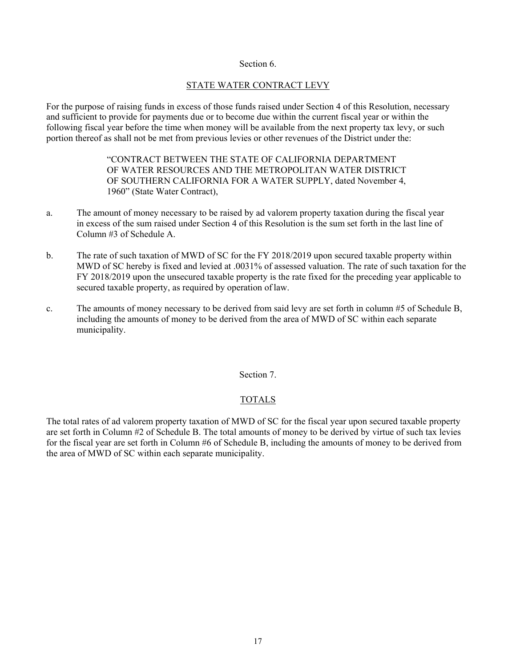#### Section 6.

#### STATE WATER CONTRACT LEVY

For the purpose of raising funds in excess of those funds raised under Section 4 of this Resolution, necessary and sufficient to provide for payments due or to become due within the current fiscal year or within the following fiscal year before the time when money will be available from the next property tax levy, or such portion thereof as shall not be met from previous levies or other revenues of the District under the:

> "CONTRACT BETWEEN THE STATE OF CALIFORNIA DEPARTMENT OF WATER RESOURCES AND THE METROPOLITAN WATER DISTRICT OF SOUTHERN CALIFORNIA FOR A WATER SUPPLY, dated November 4, 1960" (State Water Contract),

- a. The amount of money necessary to be raised by ad valorem property taxation during the fiscal year in excess of the sum raised under Section 4 of this Resolution is the sum set forth in the last line of Column #3 of Schedule A.
- b. The rate of such taxation of MWD of SC for the FY 2018/2019 upon secured taxable property within MWD of SC hereby is fixed and levied at .0031% of assessed valuation. The rate of such taxation for the FY 2018/2019 upon the unsecured taxable property is the rate fixed for the preceding year applicable to secured taxable property, as required by operation of law.
- c. The amounts of money necessary to be derived from said levy are set forth in column #5 of Schedule B, including the amounts of money to be derived from the area of MWD of SC within each separate municipality.

#### Section 7.

#### TOTALS

The total rates of ad valorem property taxation of MWD of SC for the fiscal year upon secured taxable property are set forth in Column #2 of Schedule B. The total amounts of money to be derived by virtue of such tax levies for the fiscal year are set forth in Column #6 of Schedule B, including the amounts of money to be derived from the area of MWD of SC within each separate municipality.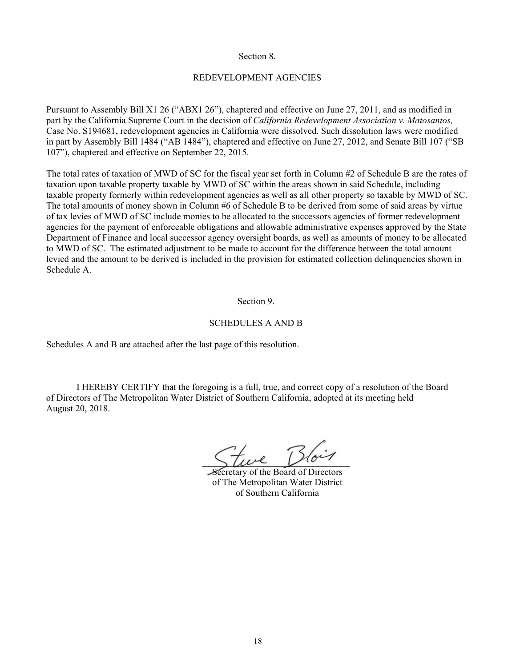#### Section 8.

#### REDEVELOPMENT AGENCIES

Pursuant to Assembly Bill X1 26 ("ABX1 26"), chaptered and effective on June 27, 2011, and as modified in part by the California Supreme Court in the decision of *California Redevelopment Association v. Matosantos,*  Case No. S194681, redevelopment agencies in California were dissolved. Such dissolution laws were modified in part by Assembly Bill 1484 ("AB 1484"), chaptered and effective on June 27, 2012, and Senate Bill 107 ("SB 107"), chaptered and effective on September 22, 2015.

The total rates of taxation of MWD of SC for the fiscal year set forth in Column #2 of Schedule B are the rates of taxation upon taxable property taxable by MWD of SC within the areas shown in said Schedule, including taxable property formerly within redevelopment agencies as well as all other property so taxable by MWD of SC. The total amounts of money shown in Column #6 of Schedule B to be derived from some of said areas by virtue of tax levies of MWD of SC include monies to be allocated to the successors agencies of former redevelopment agencies for the payment of enforceable obligations and allowable administrative expenses approved by the State Department of Finance and local successor agency oversight boards, as well as amounts of money to be allocated to MWD of SC. The estimated adjustment to be made to account for the difference between the total amount levied and the amount to be derived is included in the provision for estimated collection delinquencies shown in Schedule A.

#### Section 9.

#### SCHEDULES A AND B

Schedules A and B are attached after the last page of this resolution.

I HEREBY CERTIFY that the foregoing is a full, true, and correct copy of a resolution of the Board of Directors of The Metropolitan Water District of Southern California, adopted at its meeting held August 20, 2018.

re Blois

Secretary of the Board of Directors of The Metropolitan Water District of Southern California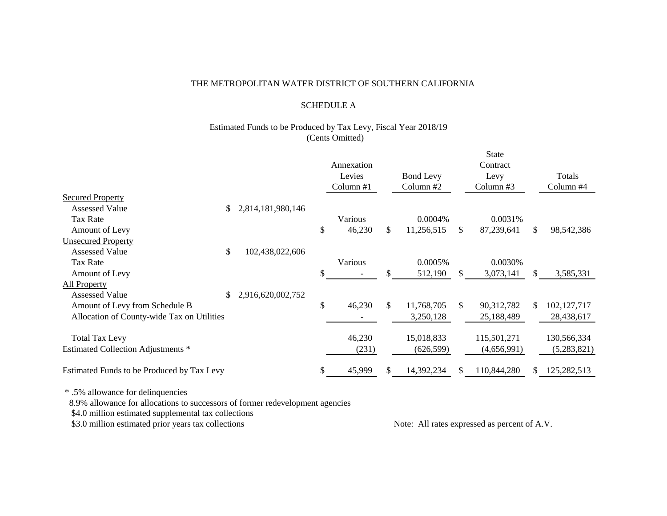#### THE METROPOLITAN WATER DISTRICT OF SOUTHERN CALIFORNIA

#### SCHEDULE A

#### Estimated Funds to be Produced by Tax Levy, Fiscal Year 2018/19 (Cents Omitted)

|                                            |                         | Annexation<br>Levies<br>Column #1 |     | <b>Bond Levy</b><br>Column #2 |              | <b>State</b><br>Contract<br>Levy<br>Column $#3$ |     | Totals<br>Column #4 |
|--------------------------------------------|-------------------------|-----------------------------------|-----|-------------------------------|--------------|-------------------------------------------------|-----|---------------------|
| <b>Secured Property</b>                    |                         |                                   |     |                               |              |                                                 |     |                     |
| <b>Assessed Value</b>                      | \$<br>2,814,181,980,146 |                                   |     |                               |              |                                                 |     |                     |
| <b>Tax Rate</b>                            |                         | Various                           |     | $0.0004\%$                    |              | 0.0031%                                         |     |                     |
| Amount of Levy                             |                         | \$<br>46,230                      | \$  | 11,256,515                    | \$           | 87,239,641                                      | \$  | 98,542,386          |
| <b>Unsecured Property</b>                  |                         |                                   |     |                               |              |                                                 |     |                     |
| <b>Assessed Value</b>                      | \$<br>102,438,022,606   |                                   |     |                               |              |                                                 |     |                     |
| <b>Tax Rate</b>                            |                         | Various                           |     | 0.0005%                       |              | 0.0030%                                         |     |                     |
| Amount of Levy                             |                         | \$                                | \$  | 512,190                       | $\mathbb{S}$ | 3,073,141                                       | \$  | 3,585,331           |
| <b>All Property</b>                        |                         |                                   |     |                               |              |                                                 |     |                     |
| <b>Assessed Value</b>                      | \$<br>2,916,620,002,752 |                                   |     |                               |              |                                                 |     |                     |
| Amount of Levy from Schedule B             |                         | \$<br>46,230                      | \$  | 11,768,705                    | \$           | 90,312,782                                      | \$. | 102, 127, 717       |
| Allocation of County-wide Tax on Utilities |                         |                                   |     | 3,250,128                     |              | 25,188,489                                      |     | 28,438,617          |
|                                            |                         |                                   |     |                               |              |                                                 |     |                     |
| <b>Total Tax Levy</b>                      |                         | 46,230                            |     | 15,018,833                    |              | 115,501,271                                     |     | 130,566,334         |
| Estimated Collection Adjustments *         |                         | (231)                             |     | (626, 599)                    |              | (4,656,991)                                     |     | (5,283,821)         |
| Estimated Funds to be Produced by Tax Levy |                         | \$<br>45,999                      | \$. | 14,392,234                    | \$.          | 110,844,280                                     | \$. | 125,282,513         |
|                                            |                         |                                   |     |                               |              |                                                 |     |                     |

\* .5% allowance for delinquencies

8.9% allowance for allocations to successors of former redevelopment agencies

\$4.0 million estimated supplemental tax collections

\$3.0 million estimated prior years tax collections Note: All rates expressed as percent of A.V.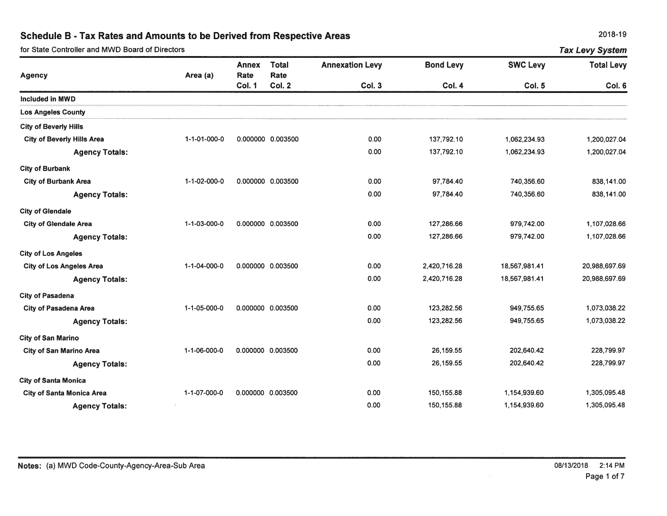for State Controller and MWD Board of Directors

2018-19

|                                   | for State Controller and MWD Board of Directors<br><b>Tax Levy System</b> |                |                       |                        |                  |                 |                   |  |
|-----------------------------------|---------------------------------------------------------------------------|----------------|-----------------------|------------------------|------------------|-----------------|-------------------|--|
|                                   |                                                                           | <b>Annex</b>   | <b>Total</b>          | <b>Annexation Levy</b> | <b>Bond Levy</b> | <b>SWC Levy</b> | <b>Total Levy</b> |  |
| <b>Agency</b>                     | Area (a)                                                                  | Rate<br>Col. 1 | Rate<br><b>Col. 2</b> | Col. 3                 | Col. 4           | Col. 5          | Col. 6            |  |
| <b>Included in MWD</b>            |                                                                           |                |                       |                        |                  |                 |                   |  |
| <b>Los Angeles County</b>         |                                                                           |                |                       |                        |                  |                 |                   |  |
| <b>City of Beverly Hills</b>      |                                                                           |                |                       |                        |                  |                 |                   |  |
| <b>City of Beverly Hills Area</b> | 1-1-01-000-0                                                              |                | 0.000000 0.003500     | 0.00                   | 137,792.10       | 1,062,234.93    | 1,200,027.04      |  |
| <b>Agency Totals:</b>             |                                                                           |                |                       | 0.00                   | 137,792.10       | 1,062,234.93    | 1,200,027.04      |  |
| <b>City of Burbank</b>            |                                                                           |                |                       |                        |                  |                 |                   |  |
| <b>City of Burbank Area</b>       | 1-1-02-000-0                                                              |                | 0.000000 0.003500     | 0.00                   | 97,784.40        | 740,356.60      | 838,141.00        |  |
| <b>Agency Totals:</b>             |                                                                           |                |                       | 0.00                   | 97,784.40        | 740,356.60      | 838,141.00        |  |
| <b>City of Glendale</b>           |                                                                           |                |                       |                        |                  |                 |                   |  |
| <b>City of Glendale Area</b>      | 1-1-03-000-0                                                              |                | 0.000000 0.003500     | 0.00                   | 127,286.66       | 979,742.00      | 1,107,028.66      |  |
| <b>Agency Totals:</b>             |                                                                           |                |                       | 0.00                   | 127,286.66       | 979,742.00      | 1,107,028.66      |  |
| <b>City of Los Angeles</b>        |                                                                           |                |                       |                        |                  |                 |                   |  |
| <b>City of Los Angeles Area</b>   | 1-1-04-000-0                                                              |                | 0.000000 0.003500     | 0.00                   | 2,420,716.28     | 18,567,981.41   | 20,988,697.69     |  |
| <b>Agency Totals:</b>             |                                                                           |                |                       | 0.00                   | 2,420,716.28     | 18,567,981.41   | 20,988,697.69     |  |
| <b>City of Pasadena</b>           |                                                                           |                |                       |                        |                  |                 |                   |  |
| <b>City of Pasadena Area</b>      | 1-1-05-000-0                                                              |                | 0.000000 0.003500     | 0.00                   | 123,282.56       | 949,755.65      | 1,073,038.22      |  |
| <b>Agency Totals:</b>             |                                                                           |                |                       | 0.00                   | 123,282.56       | 949,755.65      | 1,073,038.22      |  |
| <b>City of San Marino</b>         |                                                                           |                |                       |                        |                  |                 |                   |  |
| City of San Marino Area           | 1-1-06-000-0                                                              |                | 0.000000 0.003500     | 0.00                   | 26,159.55        | 202,640.42      | 228,799.97        |  |
| <b>Agency Totals:</b>             |                                                                           |                |                       | 0.00                   | 26,159.55        | 202,640.42      | 228,799.97        |  |
| <b>City of Santa Monica</b>       |                                                                           |                |                       |                        |                  |                 |                   |  |
| <b>City of Santa Monica Area</b>  | 1-1-07-000-0                                                              |                | 0.000000 0.003500     | 0.00                   | 150,155.88       | 1,154,939.60    | 1,305,095.48      |  |
| <b>Agency Totals:</b>             |                                                                           |                |                       | 0.00                   | 150,155.88       | 1,154,939.60    | 1,305,095.48      |  |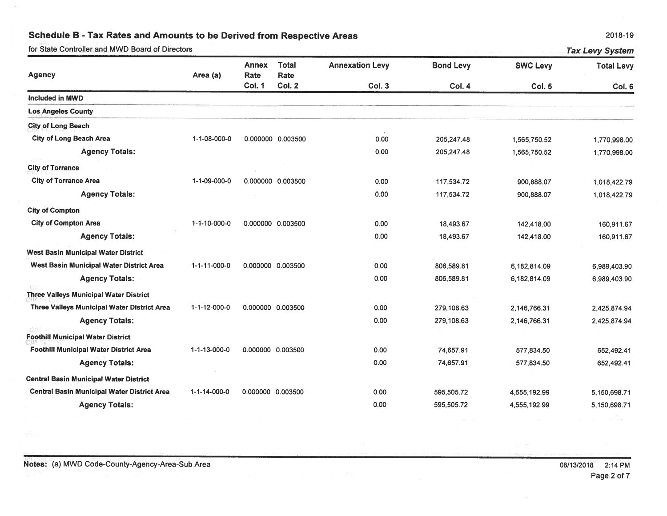for State Controller and MWD Board of Directors

|                                                    |              | <b>Annex</b>                 | <b>Total</b>          | <b>Annexation Levy</b> | <b>Bond Levy</b> | <b>SWC Levy</b> | <b>Total Levy</b> |  |
|----------------------------------------------------|--------------|------------------------------|-----------------------|------------------------|------------------|-----------------|-------------------|--|
| <b>Agency</b>                                      | Area (a)     | <b>Rate</b><br><b>Col. 1</b> | Rate<br><b>Col. 2</b> | <b>Col. 3</b>          | <b>Col. 4</b>    | Col. 5          |                   |  |
| <b>Included in MWD</b>                             |              |                              |                       |                        |                  |                 | Col. 6            |  |
| <b>Los Angeles County</b>                          |              |                              |                       |                        |                  |                 |                   |  |
| <b>City of Long Beach</b>                          |              |                              |                       |                        |                  |                 |                   |  |
| <b>City of Long Beach Area</b>                     | 1-1-08-000-0 |                              | 0.000000 0.003500     | 0.00                   | 205,247.48       | 1,565,750.52    | 1,770,998.00      |  |
| <b>Agency Totals:</b>                              |              |                              |                       | 0.00                   | 205,247.48       | 1,565,750.52    | 1,770,998.00      |  |
| <b>City of Torrance</b>                            |              |                              |                       |                        |                  |                 |                   |  |
| <b>City of Torrance Area</b>                       | 1-1-09-000-0 |                              | 0.000000 0.003500     | 0.00                   | 117,534.72       | 900,888.07      | 1,018,422.79      |  |
| <b>Agency Totals:</b>                              |              |                              |                       | 0.00                   | 117,534.72       | 900,888.07      | 1,018,422.79      |  |
| <b>City of Compton</b>                             |              |                              |                       |                        |                  |                 |                   |  |
| <b>City of Compton Area</b>                        | 1-1-10-000-0 |                              | 0.000000 0.003500     | 0.00                   | 18,493.67        | 142,418.00      | 160,911.67        |  |
| <b>Agency Totals:</b>                              |              |                              |                       | 0.00                   | 18,493.67        | 142,418.00      | 160,911.67        |  |
| <b>West Basin Municipal Water District</b>         |              |                              |                       |                        |                  |                 |                   |  |
| West Basin Municipal Water District Area           | 1-1-11-000-0 | 0.000000 0.003500            |                       | 0.00                   | 806,589.81       | 6,182,814.09    | 6,989,403.90      |  |
| <b>Agency Totals:</b>                              |              |                              |                       | 0.00                   | 806,589.81       | 6,182,814.09    | 6,989,403.90      |  |
| <b>Three Valleys Municipal Water District</b>      |              |                              |                       |                        |                  |                 |                   |  |
| <b>Three Valleys Municipal Water District Area</b> | 1-1-12-000-0 | 0.000000 0.003500            |                       | 0.00                   | 279,108.63       | 2,146,766.31    | 2,425,874.94      |  |
| <b>Agency Totals:</b>                              |              |                              |                       | 0.00                   | 279,108.63       | 2,146,766.31    | 2,425,874.94      |  |
| <b>Foothill Municipal Water District</b>           |              |                              |                       |                        |                  |                 |                   |  |
| <b>Foothill Municipal Water District Area</b>      | 1-1-13-000-0 | 0.000000 0.003500            |                       | 0.00                   | 74,657.91        | 577,834.50      | 652,492.41        |  |
| <b>Agency Totals:</b>                              |              |                              |                       | 0.00                   | 74,657.91        | 577,834.50      | 652,492.41        |  |
| <b>Central Basin Municipal Water District</b>      |              |                              |                       |                        |                  |                 |                   |  |
| <b>Central Basin Municipal Water District Area</b> | 1-1-14-000-0 | 0.000000 0.003500            |                       | 0.00                   | 595,505.72       | 4,555,192.99    | 5,150,698.71      |  |
| <b>Agency Totals:</b>                              |              |                              |                       | 0.00                   | 595,505.72       | 4,555,192.99    | 5,150,698.71      |  |

2018-19

**Tax Levy System**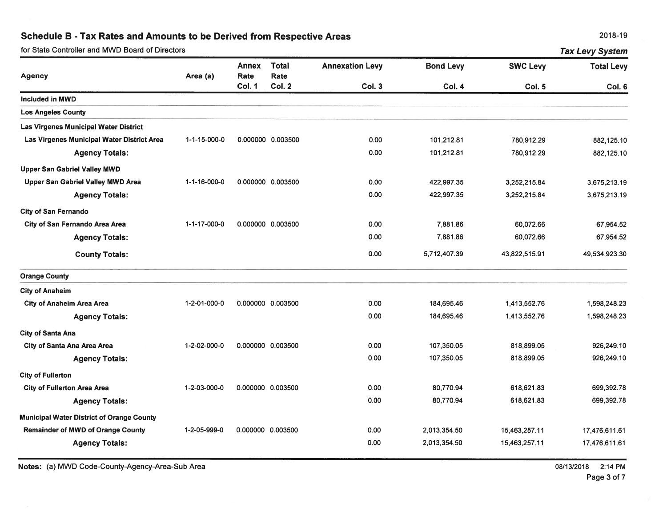| for State Controller and MWD Board of Directors |              |                                       |                                       |                                  |                            | <b>Tax Levy System</b>           |                             |  |  |
|-------------------------------------------------|--------------|---------------------------------------|---------------------------------------|----------------------------------|----------------------------|----------------------------------|-----------------------------|--|--|
| Agency                                          | Area (a)     | <b>Annex</b><br>Rate<br><b>Col. 1</b> | <b>Total</b><br>Rate<br><b>Col. 2</b> | <b>Annexation Levy</b><br>Col. 3 | <b>Bond Levy</b><br>Col. 4 | <b>SWC Levy</b><br><b>Col. 5</b> | <b>Total Levy</b><br>Col. 6 |  |  |
| Included in MWD                                 |              |                                       |                                       |                                  |                            |                                  |                             |  |  |
| <b>Los Angeles County</b>                       |              |                                       |                                       |                                  |                            |                                  |                             |  |  |
| Las Virgenes Municipal Water District           |              |                                       |                                       |                                  |                            |                                  |                             |  |  |
| Las Virgenes Municipal Water District Area      | 1-1-15-000-0 |                                       | 0.000000 0.003500                     | 0.00                             | 101,212.81                 | 780,912.29                       | 882,125.10                  |  |  |
| <b>Agency Totals:</b>                           |              |                                       |                                       | 0.00                             | 101,212.81                 | 780,912.29                       | 882,125.10                  |  |  |
| <b>Upper San Gabriel Valley MWD</b>             |              |                                       |                                       |                                  |                            |                                  |                             |  |  |
| Upper San Gabriel Valley MWD Area               | 1-1-16-000-0 |                                       | 0.000000 0.003500                     | 0.00                             | 422,997.35                 | 3,252,215.84                     | 3,675,213.19                |  |  |
| <b>Agency Totals:</b>                           |              |                                       |                                       | 0.00                             | 422,997.35                 | 3,252,215.84                     | 3,675,213.19                |  |  |
| <b>City of San Fernando</b>                     |              |                                       |                                       |                                  |                            |                                  |                             |  |  |
| City of San Fernando Area Area                  | 1-1-17-000-0 |                                       | 0.000000 0.003500                     | 0.00                             | 7,881.86                   | 60,072.66                        | 67,954.52                   |  |  |
| <b>Agency Totals:</b>                           |              |                                       |                                       | 0.00                             | 7,881.86                   | 60,072.66                        | 67.954.52                   |  |  |
| <b>County Totals:</b>                           |              |                                       |                                       | 0.00                             | 5,712,407.39               | 43,822,515.91                    | 49,534,923.30               |  |  |
| <b>Orange County</b>                            |              |                                       |                                       |                                  |                            |                                  |                             |  |  |
| <b>City of Anaheim</b>                          |              |                                       |                                       |                                  |                            |                                  |                             |  |  |
| <b>City of Anaheim Area Area</b>                | 1-2-01-000-0 |                                       | 0.000000 0.003500                     | 0.00                             | 184,695.46                 | 1,413,552.76                     | 1,598,248.23                |  |  |
| <b>Agency Totals:</b>                           |              |                                       |                                       | 0.00                             | 184,695.46                 | 1,413,552.76                     | 1,598,248.23                |  |  |
| <b>City of Santa Ana</b>                        |              |                                       |                                       |                                  |                            |                                  |                             |  |  |
| City of Santa Ana Area Area                     | 1-2-02-000-0 |                                       | 0.000000 0.003500                     | 0.00                             | 107,350.05                 | 818,899.05                       | 926,249.10                  |  |  |
| <b>Agency Totals:</b>                           |              |                                       |                                       | 0.00                             | 107,350.05                 | 818,899.05                       | 926,249.10                  |  |  |
| <b>City of Fullerton</b>                        |              |                                       |                                       |                                  |                            |                                  |                             |  |  |
| City of Fullerton Area Area                     | 1-2-03-000-0 |                                       | 0.000000 0.003500                     | 0.00                             | 80,770.94                  | 618,621.83                       | 699,392.78                  |  |  |
| <b>Agency Totals:</b>                           |              |                                       |                                       | 0.00                             | 80,770.94                  | 618,621.83                       | 699,392.78                  |  |  |
| Municipal Water District of Orange County       |              |                                       |                                       |                                  |                            |                                  |                             |  |  |
| <b>Remainder of MWD of Orange County</b>        | 1-2-05-999-0 | 0.000000 0.003500                     |                                       | 0.00                             | 2,013,354.50               | 15,463,257.11                    | 17,476,611.61               |  |  |
| <b>Agency Totals:</b>                           |              |                                       |                                       | 0.00                             | 2,013,354.50               | 15,463,257.11                    | 17,476,611.61               |  |  |
|                                                 |              |                                       |                                       |                                  |                            |                                  |                             |  |  |

Notes: (a) MWD Code-County-Agency-Area-Sub Area

08/13/2018 2:14 PM Page 3 of 7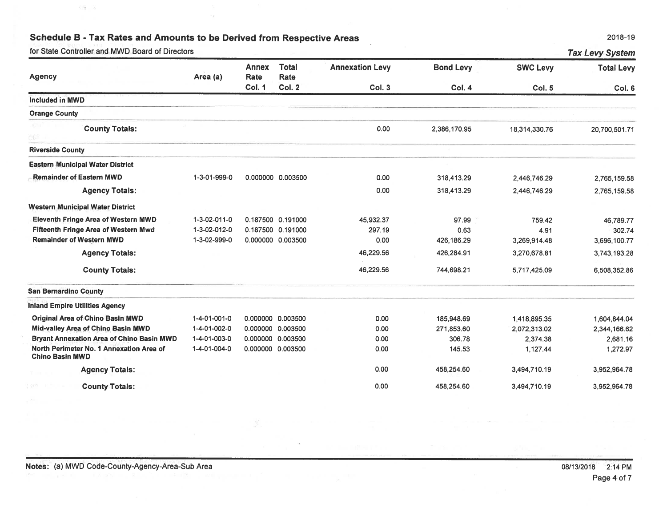for State Controller and MWD Board of Directors

ि है

| for State Controller and MWD Board of Directors                    |              |                      |                      |                        |                  |                 | <b>Tax Levy System</b> |
|--------------------------------------------------------------------|--------------|----------------------|----------------------|------------------------|------------------|-----------------|------------------------|
| <b>Agency</b>                                                      | Area (a)     | <b>Annex</b><br>Rate | <b>Total</b><br>Rate | <b>Annexation Levy</b> | <b>Bond Levy</b> | <b>SWC Levy</b> | <b>Total Levy</b>      |
|                                                                    |              | Col. 1               | Col. 2               | Col. 3                 | Col. 4           | <b>Col. 5</b>   | Col. 6                 |
| <b>Included in MWD</b>                                             |              |                      |                      |                        |                  |                 |                        |
| <b>Orange County</b>                                               |              |                      |                      |                        |                  |                 |                        |
| <b>County Totals:</b>                                              |              |                      |                      | 0.00                   | 2,386,170.95     | 18,314,330.76   | 20,700,501.71          |
| <b>Riverside County</b>                                            |              |                      |                      |                        |                  |                 |                        |
| <b>Eastern Municipal Water District</b>                            |              |                      |                      |                        |                  |                 |                        |
| <b>Remainder of Eastern MWD</b>                                    | 1-3-01-999-0 |                      | 0.000000 0.003500    | 0.00                   | 318,413.29       | 2,446,746.29    | 2,765,159.58           |
| <b>Agency Totals:</b>                                              |              |                      |                      | 0.00                   | 318,413.29       | 2,446,746.29    | 2,765,159.58           |
| <b>Western Municipal Water District</b>                            |              |                      |                      |                        |                  |                 |                        |
| <b>Eleventh Fringe Area of Western MWD</b>                         | 1-3-02-011-0 |                      | 0.187500 0.191000    | 45,932.37              | 97.99            | 759.42          | 46,789.77              |
| <b>Fifteenth Fringe Area of Western Mwd</b>                        | 1-3-02-012-0 |                      | 0.187500 0.191000    | 297.19                 | 0.63             | 4.91            | 302.74                 |
| <b>Remainder of Western MWD</b>                                    | 1-3-02-999-0 |                      | 0.000000 0.003500    | 0.00                   | 426,186.29       | 3,269,914.48    | 3,696,100.77           |
| <b>Agency Totals:</b>                                              |              |                      |                      | 46,229.56              | 426,284.91       | 3,270,678.81    | 3,743,193.28           |
| <b>County Totals:</b>                                              |              |                      |                      | 46,229.56              | 744,698.21       | 5,717,425.09    | 6,508,352.86           |
| <b>San Bernardino County</b>                                       |              |                      |                      |                        |                  |                 |                        |
| <b>Inland Empire Utilities Agency</b>                              |              |                      |                      |                        |                  |                 |                        |
| <b>Original Area of Chino Basin MWD</b>                            | 1-4-01-001-0 |                      | 0.000000 0.003500    | 0.00                   | 185,948.69       | 1,418,895.35    | 1,604,844.04           |
| Mid-valley Area of Chino Basin MWD                                 | 1-4-01-002-0 | 0.000000             | 0.003500             | 0.00                   | 271,853.60       | 2,072,313.02    | 2,344,166.62           |
| <b>Bryant Annexation Area of Chino Basin MWD</b>                   | 1-4-01-003-0 | 0.000000             | 0.003500             | 0.00                   | 306.78           | 2.374.38        | 2,681.16               |
| North Perimeter No. 1 Annexation Area of<br><b>Chino Basin MWD</b> | 1-4-01-004-0 |                      | 0.000000 0.003500    | 0.00                   | 145.53           | 1,127.44        | 1.272.97               |
| <b>Agency Totals:</b>                                              |              |                      |                      | 0.00                   | 458,254.60       | 3,494,710.19    | 3,952,964.78           |
| <b>County Totals:</b>                                              |              |                      |                      | 0.00                   | 458,254.60       | 3,494,710.19    | 3,952,964.78           |

2018-19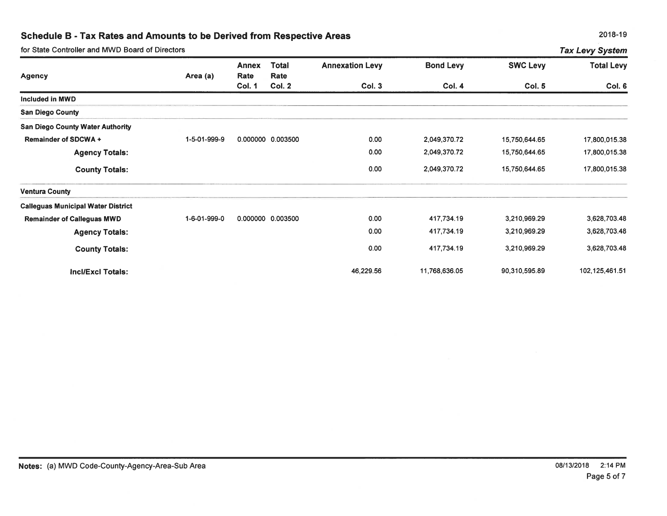| for State Controller and MWD Board of Directors<br><b>Tax Levy System</b> |              |                      |                      |                        |                  |                 |                   |  |  |
|---------------------------------------------------------------------------|--------------|----------------------|----------------------|------------------------|------------------|-----------------|-------------------|--|--|
| <b>Agency</b>                                                             | Area (a)     | <b>Annex</b><br>Rate | <b>Total</b><br>Rate | <b>Annexation Levy</b> | <b>Bond Levy</b> | <b>SWC Levy</b> | <b>Total Levy</b> |  |  |
|                                                                           |              | <b>Col. 1</b>        | Col. 2               | <b>Col. 3</b>          | <b>Col. 4</b>    | <b>Col. 5</b>   | Col. 6            |  |  |
| Included in MWD                                                           |              |                      |                      |                        |                  |                 |                   |  |  |
| <b>San Diego County</b>                                                   |              |                      |                      |                        |                  |                 |                   |  |  |
| <b>San Diego County Water Authority</b>                                   |              |                      |                      |                        |                  |                 |                   |  |  |
| <b>Remainder of SDCWA +</b>                                               | 1-5-01-999-9 |                      | 0.000000 0.003500    | 0.00                   | 2,049,370.72     | 15,750,644.65   | 17,800,015.38     |  |  |
| <b>Agency Totals:</b>                                                     |              |                      |                      | 0.00                   | 2,049,370.72     | 15,750,644.65   | 17,800,015.38     |  |  |
| <b>County Totals:</b>                                                     |              |                      |                      | 0.00                   | 2,049,370.72     | 15,750,644.65   | 17,800,015.38     |  |  |
| <b>Ventura County</b>                                                     |              |                      |                      |                        |                  |                 |                   |  |  |
| <b>Calleguas Municipal Water District</b>                                 |              |                      |                      |                        |                  |                 |                   |  |  |
| <b>Remainder of Calleguas MWD</b>                                         | 1-6-01-999-0 |                      | 0.000000 0.003500    | 0.00                   | 417,734.19       | 3,210,969.29    | 3,628,703.48      |  |  |
| <b>Agency Totals:</b>                                                     |              |                      |                      | 0.00                   | 417,734.19       | 3,210,969.29    | 3,628,703.48      |  |  |
| <b>County Totals:</b>                                                     |              |                      |                      | 0.00                   | 417,734.19       | 3,210,969.29    | 3,628,703.48      |  |  |
| Incl/Excl Totals:                                                         |              |                      |                      | 46,229.56              | 11,768,636.05    | 90,310,595.89   | 102,125,461.51    |  |  |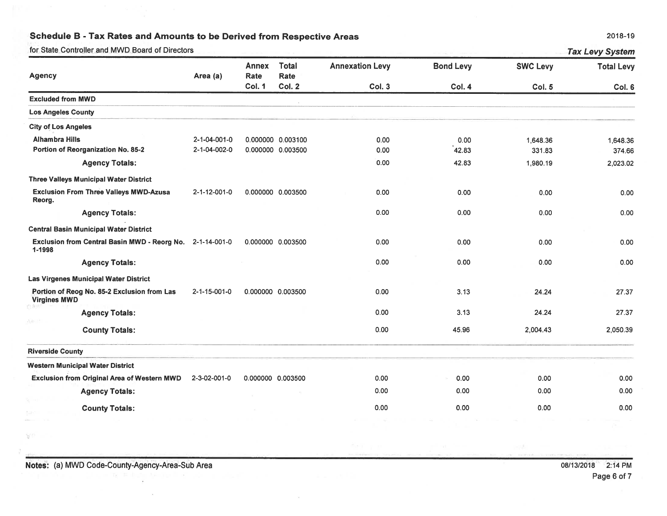for State Controller and MWD Board of Directors

| 2018-19 |  |
|---------|--|
|---------|--|

Tay Lavy System

|                                                                     |              | <b>Annex</b>      | <b>Total</b>      | <b>Annexation Levy</b> | <b>Bond Levy</b> | <b>SWC Levy</b> | <b>Total Levy</b> |
|---------------------------------------------------------------------|--------------|-------------------|-------------------|------------------------|------------------|-----------------|-------------------|
| <b>Agency</b>                                                       | Area (a)     | Rate              | Rate              |                        |                  |                 |                   |
|                                                                     |              | <b>Col. 1</b>     | Col. 2            | Col. 3                 | Col. 4           | <b>Col. 5</b>   | Col. 6            |
| <b>Excluded from MWD</b>                                            |              |                   |                   |                        |                  |                 |                   |
| <b>Los Angeles County</b>                                           |              |                   |                   |                        |                  |                 |                   |
| <b>City of Los Angeles</b>                                          |              |                   |                   |                        |                  |                 |                   |
| <b>Alhambra Hills</b>                                               | 2-1-04-001-0 |                   | 0.000000 0.003100 | 0.00                   | 0.00             | 1,648.36        | 1,648.36          |
| Portion of Reorganization No. 85-2                                  | 2-1-04-002-0 |                   | 0.000000 0.003500 | 0.00                   | 42.83            | 331.83          | 374.66            |
| <b>Agency Totals:</b>                                               |              |                   |                   | 0.00                   | 42.83            | 1,980.19        | 2,023.02          |
| <b>Three Valleys Municipal Water District</b>                       |              |                   |                   |                        |                  |                 |                   |
| <b>Exclusion From Three Valleys MWD-Azusa</b><br>Reorg.             | 2-1-12-001-0 |                   | 0.000000 0.003500 | 0.00                   | 0.00             | 0.00            | 0.00              |
| <b>Agency Totals:</b>                                               |              |                   |                   | 0.00                   | 0.00             | 0.00            | 0.00              |
| <b>Central Basin Municipal Water District</b>                       |              |                   |                   |                        |                  |                 |                   |
| Exclusion from Central Basin MWD - Reorg No. 2-1-14-001-0<br>1-1998 |              |                   | 0.000000 0.003500 | 0.00                   | 0.00             | 0.00            | 0.00              |
| <b>Agency Totals:</b>                                               |              |                   |                   | 0.00                   | 0.00             | 0.00            | 0.00              |
| Las Virgenes Municipal Water District                               |              |                   |                   |                        |                  |                 |                   |
| Portion of Reog No. 85-2 Exclusion from Las<br><b>Virgines MWD</b>  | 2-1-15-001-0 |                   | 0.000000 0.003500 | 0.00                   | 3.13             | 24.24           | 27.37             |
| <b>Agency Totals:</b>                                               |              |                   |                   | 0.00                   | 3.13             | 24.24           | 27.37             |
| <b>County Totals:</b>                                               |              |                   |                   | 0.00                   | 45.96            | 2,004.43        | 2,050.39          |
| <b>Riverside County</b>                                             |              |                   |                   |                        |                  |                 |                   |
| <b>Western Municipal Water District</b>                             |              |                   |                   |                        |                  |                 |                   |
| <b>Exclusion from Original Area of Western MWD</b>                  | 2-3-02-001-0 | 0.000000 0.003500 |                   | 0.00                   | 0.00             | 0.00            | 0.00              |
| <b>Agency Totals:</b>                                               |              |                   |                   | 0.00                   | 0.00             | 0.00            | 0.00              |
| <b>County Totals:</b>                                               |              |                   |                   | 0.00                   | 0.00             | 0.00            | 0.00              |

- 27

VT.